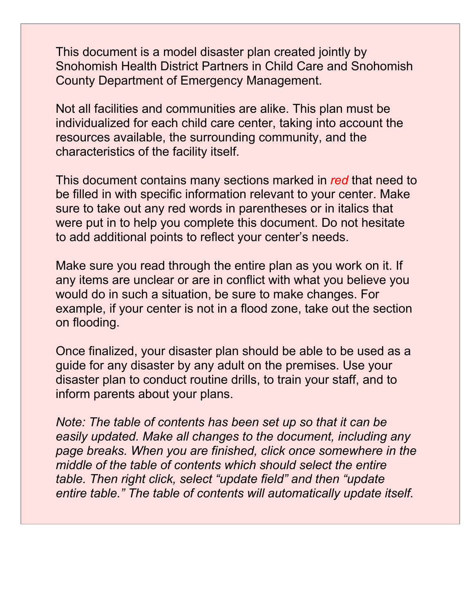This document is a model disaster plan created jointly by Snohomish Health District Partners in Child Care and Snohomish County Department of Emergency Management.

Not all facilities and communities are alike. This plan must be individualized for each child care center, taking into account the resources available, the surrounding community, and the characteristics of the facility itself.

This document contains many sections marked in *red* that need to be filled in with specific information relevant to your center. Make sure to take out any red words in parentheses or in italics that were put in to help you complete this document. Do not hesitate to add additional points to reflect your center's needs.

Make sure you read through the entire plan as you work on it. If any items are unclear or are in conflict with what you believe you would do in such a situation, be sure to make changes. For example, if your center is not in a flood zone, take out the section on flooding.

Once finalized, your disaster plan should be able to be used as a guide for any disaster by any adult on the premises. Use your disaster plan to conduct routine drills, to train your staff, and to inform parents about your plans.

*Note: The table of contents has been set up so that it can be easily updated. Make all changes to the document, including any page breaks. When you are finished, click once somewhere in the middle of the table of contents which should select the entire table. Then right click, select "update field" and then "update entire table." The table of contents will automatically update itself.*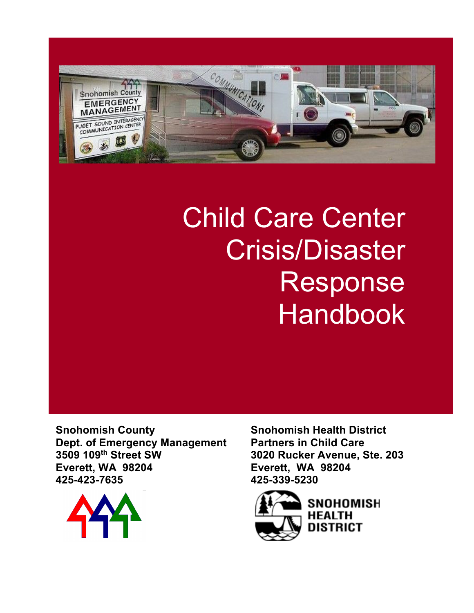

# Child Care Center Crisis/Disaster Response Handbook

**Snohomish County Snohomish Health District Dept. of Emergency Management Partners in Child Care Everett, WA 98204 Everett, WA 98204 425-423-7635 425-339-5230**



**3509 109th Street SW 3020 Rucker Avenue, Ste. 203**



**SNOHOMISH HEALTH DISTRICT**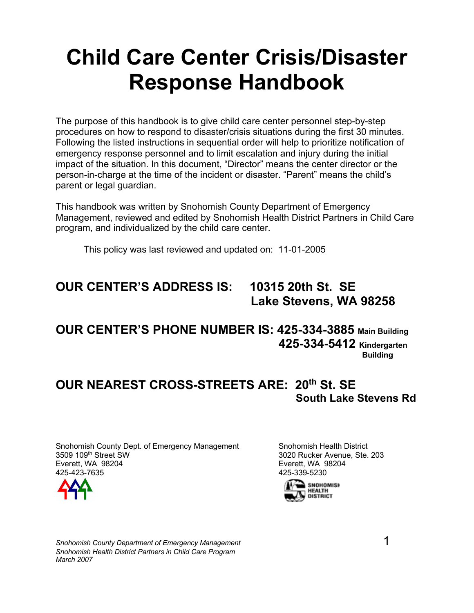# **Child Care Center Crisis/Disaster Response Handbook**

The purpose of this handbook is to give child care center personnel step-by-step procedures on how to respond to disaster/crisis situations during the first 30 minutes. Following the listed instructions in sequential order will help to prioritize notification of emergency response personnel and to limit escalation and injury during the initial impact of the situation. In this document, "Director" means the center director or the person-in-charge at the time of the incident or disaster. "Parent" means the child's parent or legal guardian.

This handbook was written by Snohomish County Department of Emergency Management, reviewed and edited by Snohomish Health District Partners in Child Care program, and individualized by the child care center.

This policy was last reviewed and updated on: 11-01-2005

# **OUR CENTER'S ADDRESS IS: 10315 20th St. SE**

**Lake Stevens, WA 98258**

**OUR CENTER'S PHONE NUMBER IS: 425-334-3885 Main Building 425-334-5412 Kindergarten Building**

# **OUR NEAREST CROSS-STREETS ARE: 20th St. SE South Lake Stevens Rd**

Snohomish County Dept. of Emergency Management Snohomish Health District 3509 109th Street SW 3020 Rucker Avenue, Ste. 203 Everett, WA 98204 Everett, WA 98204 425-423-7635 425-339-5230





**Snohomish County Department of Emergency Management** 1 *Snohomish Health District Partners in Child Care Program March 2007*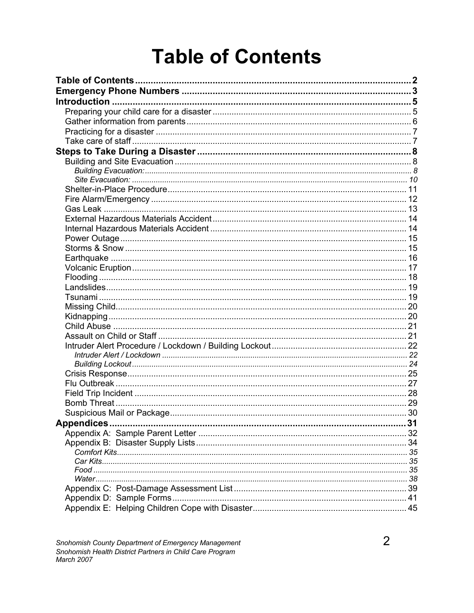# **Table of Contents**

Snohomish County Department of Emergency Management Snohomish Health District Partners in Child Care Program March 2007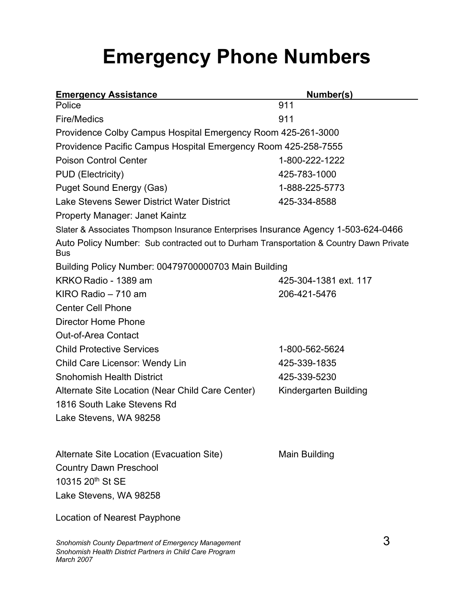# **Emergency Phone Numbers**

| <b>Emergency Assistance</b>                                                                                              | Number(s)             |
|--------------------------------------------------------------------------------------------------------------------------|-----------------------|
| Police                                                                                                                   | 911                   |
| <b>Fire/Medics</b>                                                                                                       | 911                   |
| Providence Colby Campus Hospital Emergency Room 425-261-3000                                                             |                       |
| Providence Pacific Campus Hospital Emergency Room 425-258-7555                                                           |                       |
| <b>Poison Control Center</b>                                                                                             | 1-800-222-1222        |
| PUD (Electricity)                                                                                                        | 425-783-1000          |
| <b>Puget Sound Energy (Gas)</b>                                                                                          | 1-888-225-5773        |
| Lake Stevens Sewer District Water District                                                                               | 425-334-8588          |
| <b>Property Manager: Janet Kaintz</b>                                                                                    |                       |
| Slater & Associates Thompson Insurance Enterprises Insurance Agency 1-503-624-0466                                       |                       |
| Auto Policy Number: Sub contracted out to Durham Transportation & Country Dawn Private<br><b>Bus</b>                     |                       |
| Building Policy Number: 00479700000703 Main Building                                                                     |                       |
| KRKO Radio - 1389 am                                                                                                     | 425-304-1381 ext. 117 |
| KIRO Radio - 710 am                                                                                                      | 206-421-5476          |
| <b>Center Cell Phone</b>                                                                                                 |                       |
| <b>Director Home Phone</b>                                                                                               |                       |
| <b>Out-of-Area Contact</b>                                                                                               |                       |
| <b>Child Protective Services</b>                                                                                         | 1-800-562-5624        |
| Child Care Licensor: Wendy Lin                                                                                           | 425-339-1835          |
| <b>Snohomish Health District</b>                                                                                         | 425-339-5230          |
| Alternate Site Location (Near Child Care Center)                                                                         | Kindergarten Building |
| 1816 South Lake Stevens Rd                                                                                               |                       |
| Lake Stevens, WA 98258                                                                                                   |                       |
| Alternate Site Location (Evacuation Site)<br><b>Country Dawn Preschool</b><br>10315 20th St SE<br>Lake Stevens, WA 98258 | Main Building         |
| Location of Nearest Payphone                                                                                             |                       |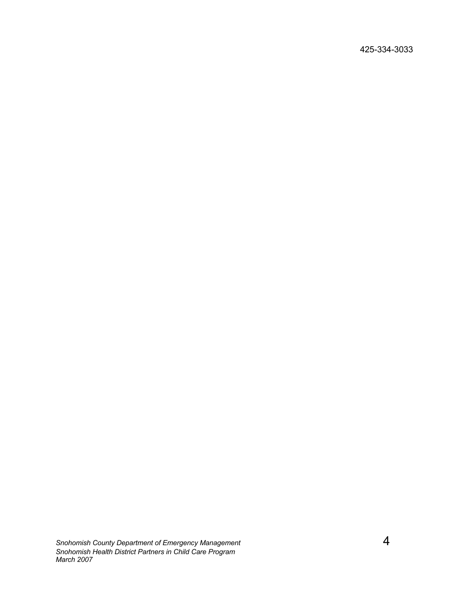425-334-3033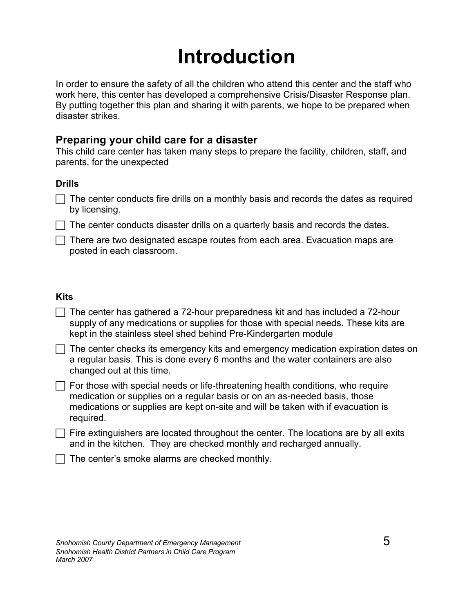# **Introduction**

In order to ensure the safety of all the children who attend this center and the staff who work here, this center has developed a comprehensive Crisis/Disaster Response plan. By putting together this plan and sharing it with parents, we hope to be prepared when disaster strikes.

### **Preparing your child care for a disaster**

This child care center has taken many steps to prepare the facility, children, staff, and parents, for the unexpected

### **Drills**

 $\Box$  The center conducts fire drills on a monthly basis and records the dates as required by licensing.

 $\Box$  The center conducts disaster drills on a quarterly basis and records the dates.

 $\Box$  There are two designated escape routes from each area. Evacuation maps are posted in each classroom.

### **Kits**

- $\Box$  The center has gathered a 72-hour preparedness kit and has included a 72-hour supply of any medications or supplies for those with special needs. These kits are kept in the stainless steel shed behind Pre-Kindergarten module
- $\Box$  The center checks its emergency kits and emergency medication expiration dates on a regular basis. This is done every 6 months and the water containers are also changed out at this time.

 $\Box$  For those with special needs or life-threatening health conditions, who require medication or supplies on a regular basis or on an as-needed basis, those medications or supplies are kept on-site and will be taken with if evacuation is required.

 $\Box$  Fire extinguishers are located throughout the center. The locations are by all exits and in the kitchen. They are checked monthly and recharged annually.

 $\Box$  The center's smoke alarms are checked monthly.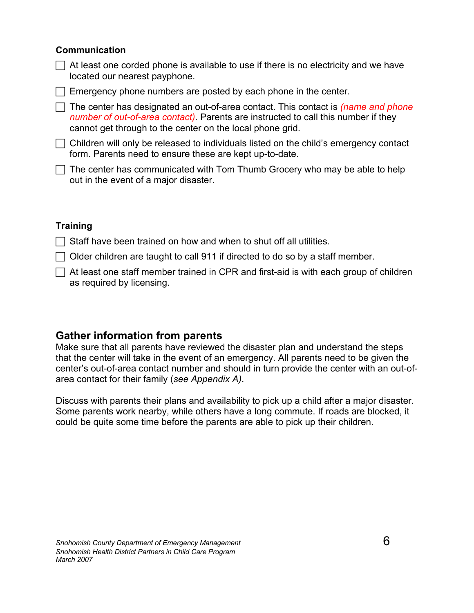### **Communication**

- $\Box$  At least one corded phone is available to use if there is no electricity and we have located our nearest payphone.
- $\Box$  Emergency phone numbers are posted by each phone in the center.

The center has designated an out-of-area contact. This contact is *(name and phone*) *number of out-of-area contact)*. Parents are instructed to call this number if they cannot get through to the center on the local phone grid.

- $\Box$  Children will only be released to individuals listed on the child's emergency contact form. Parents need to ensure these are kept up-to-date.
- $\Box$  The center has communicated with Tom Thumb Grocery who may be able to help out in the event of a major disaster.

### **Training**

- $\Box$  Staff have been trained on how and when to shut off all utilities.
- $\Box$  Older children are taught to call 911 if directed to do so by a staff member.
- $\Box$  At least one staff member trained in CPR and first-aid is with each group of children as required by licensing.

# **Gather information from parents**

Make sure that all parents have reviewed the disaster plan and understand the steps that the center will take in the event of an emergency. All parents need to be given the center's out-of-area contact number and should in turn provide the center with an out-ofarea contact for their family (*see Appendix A)*.

Discuss with parents their plans and availability to pick up a child after a major disaster. Some parents work nearby, while others have a long commute. If roads are blocked, it could be quite some time before the parents are able to pick up their children.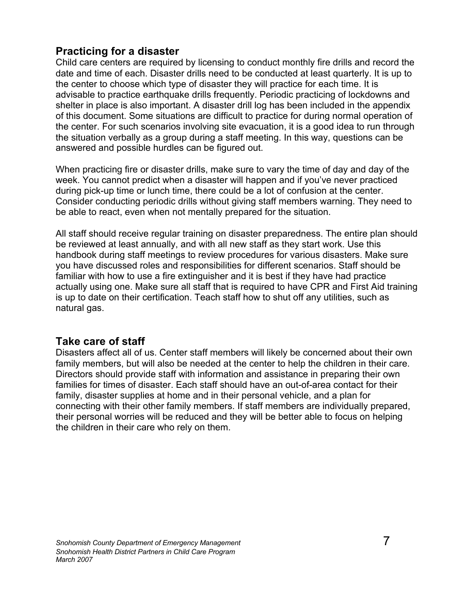# **Practicing for a disaster**

Child care centers are required by licensing to conduct monthly fire drills and record the date and time of each. Disaster drills need to be conducted at least quarterly. It is up to the center to choose which type of disaster they will practice for each time. It is advisable to practice earthquake drills frequently. Periodic practicing of lockdowns and shelter in place is also important. A disaster drill log has been included in the appendix of this document. Some situations are difficult to practice for during normal operation of the center. For such scenarios involving site evacuation, it is a good idea to run through the situation verbally as a group during a staff meeting. In this way, questions can be answered and possible hurdles can be figured out.

When practicing fire or disaster drills, make sure to vary the time of day and day of the week. You cannot predict when a disaster will happen and if you've never practiced during pick-up time or lunch time, there could be a lot of confusion at the center. Consider conducting periodic drills without giving staff members warning. They need to be able to react, even when not mentally prepared for the situation.

All staff should receive regular training on disaster preparedness. The entire plan should be reviewed at least annually, and with all new staff as they start work. Use this handbook during staff meetings to review procedures for various disasters. Make sure you have discussed roles and responsibilities for different scenarios. Staff should be familiar with how to use a fire extinguisher and it is best if they have had practice actually using one. Make sure all staff that is required to have CPR and First Aid training is up to date on their certification. Teach staff how to shut off any utilities, such as natural gas.

# **Take care of staff**

Disasters affect all of us. Center staff members will likely be concerned about their own family members, but will also be needed at the center to help the children in their care. Directors should provide staff with information and assistance in preparing their own families for times of disaster. Each staff should have an out-of-area contact for their family, disaster supplies at home and in their personal vehicle, and a plan for connecting with their other family members. If staff members are individually prepared, their personal worries will be reduced and they will be better able to focus on helping the children in their care who rely on them.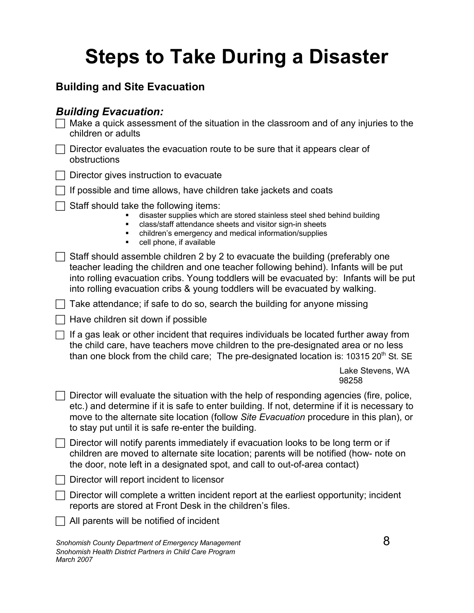# **Steps to Take During a Disaster**

# **Building and Site Evacuation**

# *Building Evacuation:*

| Make a quick assessment of the situation in the classroom and of any injuries to the<br>children or adults                                                                                                                                                                                                                                       |
|--------------------------------------------------------------------------------------------------------------------------------------------------------------------------------------------------------------------------------------------------------------------------------------------------------------------------------------------------|
| Director evaluates the evacuation route to be sure that it appears clear of<br>obstructions                                                                                                                                                                                                                                                      |
| Director gives instruction to evacuate                                                                                                                                                                                                                                                                                                           |
| If possible and time allows, have children take jackets and coats                                                                                                                                                                                                                                                                                |
| Staff should take the following items:<br>disaster supplies which are stored stainless steel shed behind building<br>class/staff attendance sheets and visitor sign-in sheets<br>٠<br>children's emergency and medical information/supplies<br>٠<br>cell phone, if available<br>٠                                                                |
| Staff should assemble children 2 by 2 to evacuate the building (preferably one<br>teacher leading the children and one teacher following behind). Infants will be put<br>into rolling evacuation cribs. Young toddlers will be evacuated by: Infants will be put<br>into rolling evacuation cribs & young toddlers will be evacuated by walking. |
| Take attendance; if safe to do so, search the building for anyone missing                                                                                                                                                                                                                                                                        |
| Have children sit down if possible                                                                                                                                                                                                                                                                                                               |
| If a gas leak or other incident that requires individuals be located further away from<br>the child care, have teachers move children to the pre-designated area or no less<br>than one block from the child care; The pre-designated location is: 10315 20 <sup>th</sup> St. SE                                                                 |
| Lake Stevens, WA<br>98258                                                                                                                                                                                                                                                                                                                        |
| Director will evaluate the situation with the help of responding agencies (fire, police,<br>etc.) and determine if it is safe to enter building. If not, determine if it is necessary to<br>move to the alternate site location (follow Site Evacuation procedure in this plan), or<br>to stay put until it is safe re-enter the building.       |
| Director will notify parents immediately if evacuation looks to be long term or if<br>children are moved to alternate site location; parents will be notified (how- note on<br>the door, note left in a designated spot, and call to out-of-area contact)                                                                                        |
| Director will report incident to licensor                                                                                                                                                                                                                                                                                                        |
| Director will complete a written incident report at the earliest opportunity; incident<br>reports are stored at Front Desk in the children's files.                                                                                                                                                                                              |
| All parents will be notified of incident                                                                                                                                                                                                                                                                                                         |

**Snohomish County Department of Emergency Management** 8 and 8 and 8 and 8 and 8 and 8 and 8 and 8 and 8 and 8 and 8 and 8 and 8 and 8 and 8 and 8 and 8 and 8 and 8 and 8 and 8 and 8 and 8 and 8 and 8 and 8 and 8 and 8 and *Snohomish Health District Partners in Child Care Program March 2007*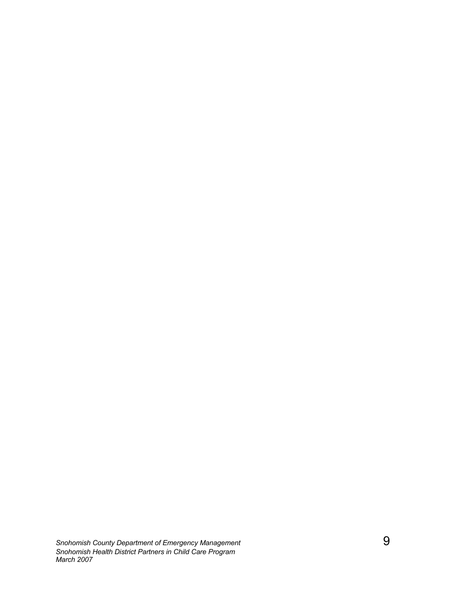*Snohomish County Department of Emergency Management Snohomish Health District Partners in Child Care Program March 2007*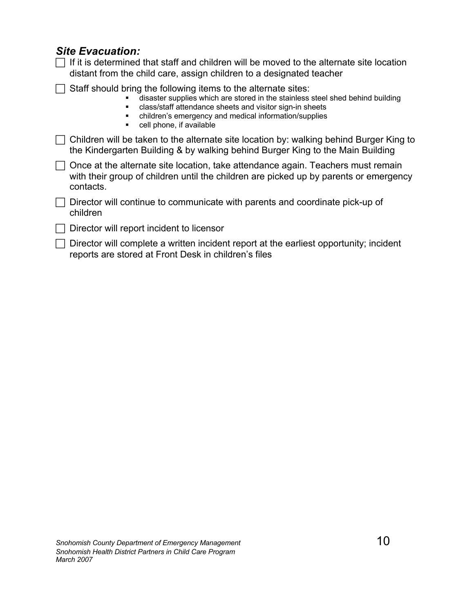# *Site Evacuation:*

 $\Box$  If it is determined that staff and children will be moved to the alternate site location distant from the child care, assign children to a designated teacher

- $\Box$  Staff should bring the following items to the alternate sites:
	- § disaster supplies which are stored in the stainless steel shed behind building
		- § class/staff attendance sheets and visitor sign-in sheets
		- children's emergency and medical information/supplies
		- cell phone, if available

 $\Box$  Children will be taken to the alternate site location by: walking behind Burger King to the Kindergarten Building & by walking behind Burger King to the Main Building

 $\Box$  Once at the alternate site location, take attendance again. Teachers must remain with their group of children until the children are picked up by parents or emergency contacts.

- $\Box$  Director will continue to communicate with parents and coordinate pick-up of children
- $\Box$  Director will report incident to licensor
- $\Box$  Director will complete a written incident report at the earliest opportunity; incident reports are stored at Front Desk in children's files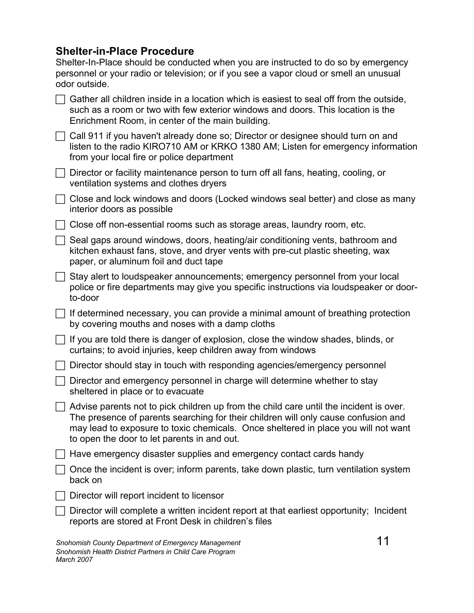# **Shelter-in-Place Procedure**

Shelter-In-Place should be conducted when you are instructed to do so by emergency personnel or your radio or television; or if you see a vapor cloud or smell an unusual odor outside.

|                   | Gather all children inside in a location which is easiest to seal off from the outside,<br>such as a room or two with few exterior windows and doors. This location is the<br>Enrichment Room, in center of the main building.                                                                                    |
|-------------------|-------------------------------------------------------------------------------------------------------------------------------------------------------------------------------------------------------------------------------------------------------------------------------------------------------------------|
|                   | Call 911 if you haven't already done so; Director or designee should turn on and<br>listen to the radio KIRO710 AM or KRKO 1380 AM; Listen for emergency information<br>from your local fire or police department                                                                                                 |
|                   | Director or facility maintenance person to turn off all fans, heating, cooling, or<br>ventilation systems and clothes dryers                                                                                                                                                                                      |
|                   | Close and lock windows and doors (Locked windows seal better) and close as many<br>interior doors as possible                                                                                                                                                                                                     |
|                   | Close off non-essential rooms such as storage areas, laundry room, etc.                                                                                                                                                                                                                                           |
|                   | Seal gaps around windows, doors, heating/air conditioning vents, bathroom and<br>kitchen exhaust fans, stove, and dryer vents with pre-cut plastic sheeting, wax<br>paper, or aluminum foil and duct tape                                                                                                         |
|                   | Stay alert to loudspeaker announcements; emergency personnel from your local<br>police or fire departments may give you specific instructions via loudspeaker or door-<br>to-door                                                                                                                                 |
| $\vert \ \ \vert$ | If determined necessary, you can provide a minimal amount of breathing protection<br>by covering mouths and noses with a damp cloths                                                                                                                                                                              |
| $\vert \ \ \vert$ | If you are told there is danger of explosion, close the window shades, blinds, or<br>curtains; to avoid injuries, keep children away from windows                                                                                                                                                                 |
|                   | Director should stay in touch with responding agencies/emergency personnel                                                                                                                                                                                                                                        |
|                   | Director and emergency personnel in charge will determine whether to stay<br>sheltered in place or to evacuate                                                                                                                                                                                                    |
|                   | Advise parents not to pick children up from the child care until the incident is over.<br>The presence of parents searching for their children will only cause confusion and<br>may lead to exposure to toxic chemicals. Once sheltered in place you will not want<br>to open the door to let parents in and out. |
|                   | Have emergency disaster supplies and emergency contact cards handy                                                                                                                                                                                                                                                |
|                   | Once the incident is over; inform parents, take down plastic, turn ventilation system<br>back on                                                                                                                                                                                                                  |
|                   | Director will report incident to licensor                                                                                                                                                                                                                                                                         |
|                   | Director will complete a written incident report at that earliest opportunity; Incident<br>reports are stored at Front Desk in children's files                                                                                                                                                                   |
|                   |                                                                                                                                                                                                                                                                                                                   |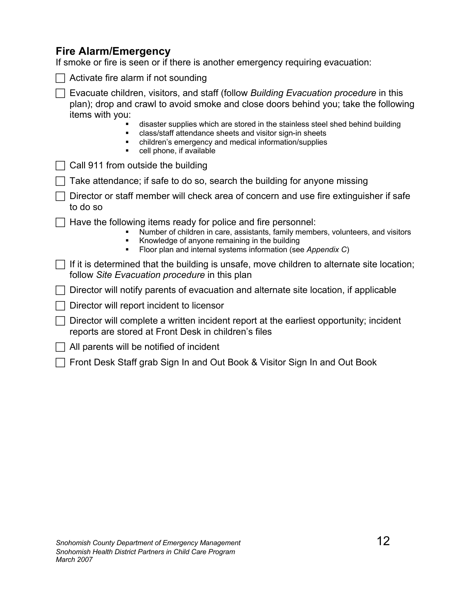# **Fire Alarm/Emergency**

If smoke or fire is seen or if there is another emergency requiring evacuation:

- $\Box$  Activate fire alarm if not sounding
- □ Evacuate children, visitors, and staff (follow *Building Evacuation procedure* in this plan); drop and crawl to avoid smoke and close doors behind you; take the following items with you:
	- § disaster supplies which are stored in the stainless steel shed behind building
	- class/staff attendance sheets and visitor sign-in sheets
	- children's emergency and medical information/supplies
	- cell phone, if available

| □ Call 911 from outside the building |  |  |  |  |
|--------------------------------------|--|--|--|--|
|--------------------------------------|--|--|--|--|

- $\Box$  Take attendance; if safe to do so, search the building for anyone missing
- $\Box$  Director or staff member will check area of concern and use fire extinguisher if safe to do so
- $\Box$  Have the following items ready for police and fire personnel:
	- § Number of children in care, assistants, family members, volunteers, and visitors
	- § Knowledge of anyone remaining in the building
	- Floor plan and internal systems information (see *Appendix C*)
- $\Box$  If it is determined that the building is unsafe, move children to alternate site location; follow *Site Evacuation procedure* in this plan
- $\Box$  Director will notify parents of evacuation and alternate site location, if applicable
- $\Box$  Director will report incident to licensor
- $\Box$  Director will complete a written incident report at the earliest opportunity; incident reports are stored at Front Desk in children's files
- $\Box$  All parents will be notified of incident
- $\Box$  Front Desk Staff grab Sign In and Out Book & Visitor Sign In and Out Book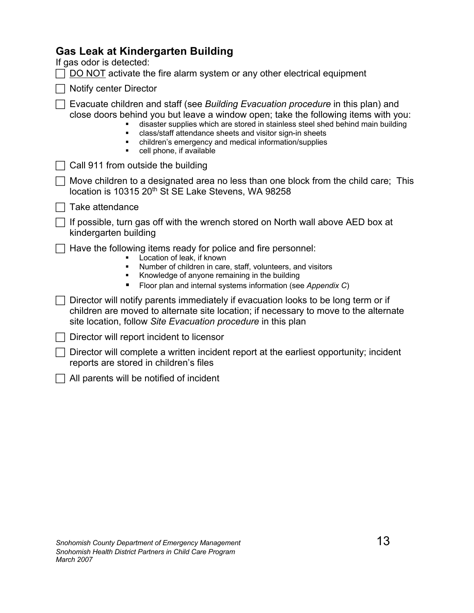# **Gas Leak at Kindergarten Building**

If gas odor is detected:

|  |  | $\Box$ DO NOT activate the fire alarm system or any other electrical equipment |  |  |  |  |  |  |  |
|--|--|--------------------------------------------------------------------------------|--|--|--|--|--|--|--|
|--|--|--------------------------------------------------------------------------------|--|--|--|--|--|--|--|

- $\Box$  Notify center Director
- **Evacuate children and staff (see** *Building Evacuation procedure* **in this plan) and** close doors behind you but leave a window open; take the following items with you:
	- § disaster supplies which are stored in stainless steel shed behind main building
		- § class/staff attendance sheets and visitor sign-in sheets
		- children's emergency and medical information/supplies
		- cell phone, if available

|  |  |  | $\Box$ Call 911 from outside the building |  |
|--|--|--|-------------------------------------------|--|
|  |  |  |                                           |  |

- $\Box$  Move children to a designated area no less than one block from the child care; This location is 10315 20<sup>th</sup> St SE Lake Stevens, WA 98258
- $\Box$  Take attendance
- $\Box$  If possible, turn gas off with the wrench stored on North wall above AED box at kindergarten building

 $\Box$  Have the following items ready for police and fire personnel:

- Location of leak, if known
- Number of children in care, staff, volunteers, and visitors<br>■ Knowledge of anyone remaining in the building
- § Knowledge of anyone remaining in the building
- Floor plan and internal systems information (see *Appendix C*)
- $\Box$  Director will notify parents immediately if evacuation looks to be long term or if children are moved to alternate site location; if necessary to move to the alternate site location, follow *Site Evacuation procedure* in this plan
- $\Box$  Director will report incident to licensor
- $\Box$  Director will complete a written incident report at the earliest opportunity; incident reports are stored in children's files
- $\Box$  All parents will be notified of incident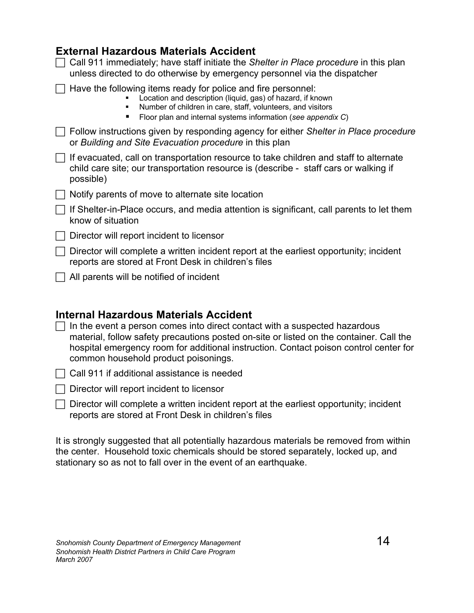| <b>External Hazardous Materials Accident</b>                                                                                                                                                                                                                         |
|----------------------------------------------------------------------------------------------------------------------------------------------------------------------------------------------------------------------------------------------------------------------|
| Call 911 immediately; have staff initiate the Shelter in Place procedure in this plan<br>unless directed to do otherwise by emergency personnel via the dispatcher                                                                                                   |
| Have the following items ready for police and fire personnel:<br>Location and description (liquid, gas) of hazard, if known<br>Number of children in care, staff, volunteers, and visitors<br>٠<br>Floor plan and internal systems information (see appendix C)<br>п |
| Follow instructions given by responding agency for either Shelter in Place procedure<br>or Building and Site Evacuation procedure in this plan                                                                                                                       |
| If evacuated, call on transportation resource to take children and staff to alternate<br>child care site; our transportation resource is (describe - staff cars or walking if<br>possible)                                                                           |
| Notify parents of move to alternate site location                                                                                                                                                                                                                    |
| If Shelter-in-Place occurs, and media attention is significant, call parents to let them<br>know of situation                                                                                                                                                        |
| Director will report incident to licensor                                                                                                                                                                                                                            |
| Director will complete a written incident report at the earliest opportunity; incident<br>reports are stored at Front Desk in children's files                                                                                                                       |
| All parents will be notified of incident                                                                                                                                                                                                                             |
|                                                                                                                                                                                                                                                                      |
|                                                                                                                                                                                                                                                                      |

# **Internal Hazardous Materials Accident**

| $\Box$ In the event a person comes into direct contact with a suspected hazardous       |
|-----------------------------------------------------------------------------------------|
| material, follow safety precautions posted on-site or listed on the container. Call the |
| hospital emergency room for additional instruction. Contact poison control center for   |
| common household product poisonings.                                                    |

 $\Box$  Call 911 if additional assistance is needed

 $\Box$  Director will report incident to licensor

 $\Box$  Director will complete a written incident report at the earliest opportunity; incident reports are stored at Front Desk in children's files

It is strongly suggested that all potentially hazardous materials be removed from within the center. Household toxic chemicals should be stored separately, locked up, and stationary so as not to fall over in the event of an earthquake.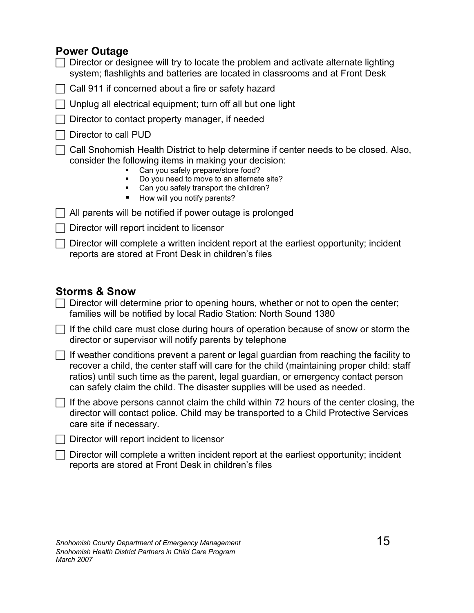# **Power Outage**

 $\Box$  Director or designee will try to locate the problem and activate alternate lighting system; flashlights and batteries are located in classrooms and at Front Desk

- $\Box$  Call 911 if concerned about a fire or safety hazard
- $\Box$  Unplug all electrical equipment; turn off all but one light
- $\Box$  Director to contact property manager, if needed
- $\Box$  Director to call PUD

 $\Box$  Call Snohomish Health District to help determine if center needs to be closed. Also, consider the following items in making your decision:

- Can you safely prepare/store food?
- Do you need to move to an alternate site?
- Can you safely transport the children?
- How will you notify parents?

 $\Box$  All parents will be notified if power outage is prolonged

 $\Box$  Director will report incident to licensor

 $\Box$  Director will complete a written incident report at the earliest opportunity; incident reports are stored at Front Desk in children's files

# **Storms & Snow**

| $\Box$ Director will determine prior to opening hours, whether or not to open the center; |
|-------------------------------------------------------------------------------------------|
| families will be notified by local Radio Station: North Sound 1380                        |

| $\Box$ If the child care must close during hours of operation because of snow or storm the |  |
|--------------------------------------------------------------------------------------------|--|
| director or supervisor will notify parents by telephone                                    |  |

 $\Box$  If weather conditions prevent a parent or legal guardian from reaching the facility to recover a child, the center staff will care for the child (maintaining proper child: staff ratios) until such time as the parent, legal guardian, or emergency contact person can safely claim the child. The disaster supplies will be used as needed.

 $\Box$  If the above persons cannot claim the child within 72 hours of the center closing, the director will contact police. Child may be transported to a Child Protective Services care site if necessary.

- $\Box$  Director will report incident to licensor
- $\Box$  Director will complete a written incident report at the earliest opportunity; incident reports are stored at Front Desk in children's files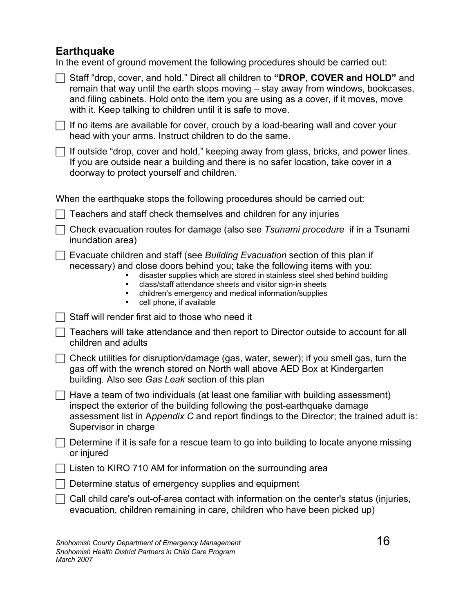# **Earthquake**

In the event of ground movement the following procedures should be carried out:

| Staff "drop, cover, and hold." Direct all children to "DROP, COVER and HOLD" and<br>remain that way until the earth stops moving – stay away from windows, bookcases,<br>and filing cabinets. Hold onto the item you are using as a cover, if it moves, move<br>with it. Keep talking to children until it is safe to move.                                                              |
|------------------------------------------------------------------------------------------------------------------------------------------------------------------------------------------------------------------------------------------------------------------------------------------------------------------------------------------------------------------------------------------|
| If no items are available for cover, crouch by a load-bearing wall and cover your<br>head with your arms. Instruct children to do the same.                                                                                                                                                                                                                                              |
| If outside "drop, cover and hold," keeping away from glass, bricks, and power lines.<br>If you are outside near a building and there is no safer location, take cover in a<br>doorway to protect yourself and children.                                                                                                                                                                  |
| When the earthquake stops the following procedures should be carried out:                                                                                                                                                                                                                                                                                                                |
| Teachers and staff check themselves and children for any injuries                                                                                                                                                                                                                                                                                                                        |
| Check evacuation routes for damage (also see Tsunami procedure if in a Tsunami<br>inundation area)                                                                                                                                                                                                                                                                                       |
| Evacuate children and staff (see Building Evacuation section of this plan if<br>necessary) and close doors behind you; take the following items with you:<br>disaster supplies which are stored in stainless steel shed behind building<br>class/staff attendance sheets and visitor sign-in sheets<br>children's emergency and medical information/supplies<br>cell phone, if available |
| Staff will render first aid to those who need it                                                                                                                                                                                                                                                                                                                                         |
| Teachers will take attendance and then report to Director outside to account for all<br>children and adults                                                                                                                                                                                                                                                                              |
| Check utilities for disruption/damage (gas, water, sewer); if you smell gas, turn the<br>gas off with the wrench stored on North wall above AED Box at Kindergarten<br>building. Also see Gas Leak section of this plan                                                                                                                                                                  |
| Have a team of two individuals (at least one familiar with building assessment)<br>inspect the exterior of the building following the post-earthquake damage<br>assessment list in Appendix C and report findings to the Director; the trained adult is:<br>Supervisor in charge                                                                                                         |
| Determine if it is safe for a rescue team to go into building to locate anyone missing<br>or injured                                                                                                                                                                                                                                                                                     |
| Listen to KIRO 710 AM for information on the surrounding area                                                                                                                                                                                                                                                                                                                            |
| Determine status of emergency supplies and equipment                                                                                                                                                                                                                                                                                                                                     |
| Call child care's out-of-area contact with information on the center's status (injuries,<br>evacuation, children remaining in care, children who have been picked up)                                                                                                                                                                                                                    |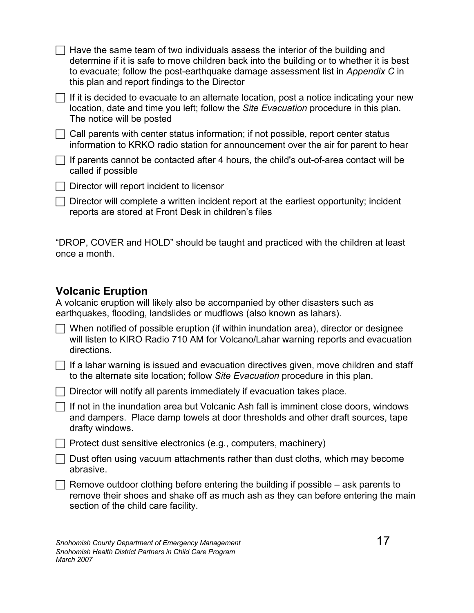| this plan and report findings to the Director                                                                                                                                                                 |  |
|---------------------------------------------------------------------------------------------------------------------------------------------------------------------------------------------------------------|--|
| If it is decided to evacuate to an alternate location, post a notice indicating your new<br>location, date and time you left; follow the Site Evacuation procedure in this plan.<br>The notice will be posted |  |
| Call parents with center status information; if not possible, report center status<br>information to KRKO radio station for announcement over the air for parent to hear                                      |  |
| If parents cannot be contacted after 4 hours, the child's out-of-area contact will be<br>called if possible                                                                                                   |  |
| Director will report incident to licensor                                                                                                                                                                     |  |
| Director will complete a written incident report at the earliest opportunity; incident<br>reports are stored at Front Desk in children's files                                                                |  |
|                                                                                                                                                                                                               |  |

"DROP, COVER and HOLD" should be taught and practiced with the children at least once a month.

# **Volcanic Eruption**

A volcanic eruption will likely also be accompanied by other disasters such as earthquakes, flooding, landslides or mudflows (also known as lahars).

| $\Box$ When notified of possible eruption (if within inundation area), director or designee |
|---------------------------------------------------------------------------------------------|
| will listen to KIRO Radio 710 AM for Volcano/Lahar warning reports and evacuation           |
| directions.                                                                                 |

 $\Box$  If a lahar warning is issued and evacuation directives given, move children and staff to the alternate site location; follow *Site Evacuation* procedure in this plan.

 $\Box$  Director will notify all parents immediately if evacuation takes place.

 $\Box$  If not in the inundation area but Volcanic Ash fall is imminent close doors, windows and dampers. Place damp towels at door thresholds and other draft sources, tape drafty windows.

 $\Box$  Protect dust sensitive electronics (e.g., computers, machinery)

 $\Box$  Dust often using vacuum attachments rather than dust cloths, which may become abrasive.

 $\Box$  Remove outdoor clothing before entering the building if possible – ask parents to remove their shoes and shake off as much ash as they can before entering the main section of the child care facility.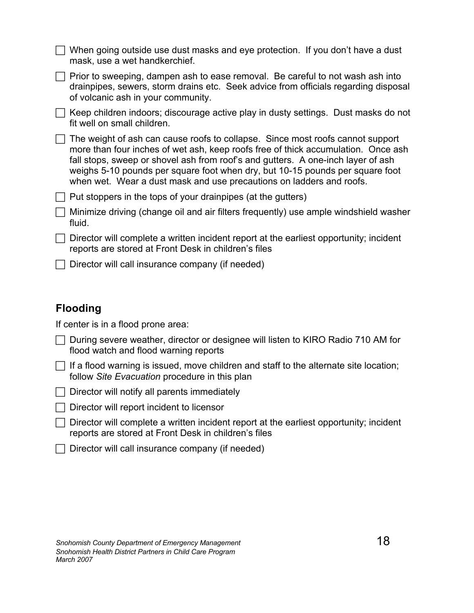| When going outside use dust masks and eye protection. If you don't have a dust<br>mask, use a wet handkerchief.                                                                                                                                                                                                                                                                                                  |
|------------------------------------------------------------------------------------------------------------------------------------------------------------------------------------------------------------------------------------------------------------------------------------------------------------------------------------------------------------------------------------------------------------------|
| Prior to sweeping, dampen ash to ease removal. Be careful to not wash ash into<br>drainpipes, sewers, storm drains etc. Seek advice from officials regarding disposal<br>of volcanic ash in your community.                                                                                                                                                                                                      |
| Keep children indoors; discourage active play in dusty settings. Dust masks do not<br>fit well on small children.                                                                                                                                                                                                                                                                                                |
| The weight of ash can cause roofs to collapse. Since most roofs cannot support<br>more than four inches of wet ash, keep roofs free of thick accumulation. Once ash<br>fall stops, sweep or shovel ash from roof's and gutters. A one-inch layer of ash<br>weighs 5-10 pounds per square foot when dry, but 10-15 pounds per square foot<br>when wet. Wear a dust mask and use precautions on ladders and roofs. |
| Put stoppers in the tops of your drainpipes (at the gutters)                                                                                                                                                                                                                                                                                                                                                     |
| Minimize driving (change oil and air filters frequently) use ample windshield washer<br>fluid.                                                                                                                                                                                                                                                                                                                   |
| Director will complete a written incident report at the earliest opportunity; incident<br>reports are stored at Front Desk in children's files                                                                                                                                                                                                                                                                   |
| Director will call insurance company (if needed)                                                                                                                                                                                                                                                                                                                                                                 |

# **Flooding**

If center is in a flood prone area:

- $\Box$  During severe weather, director or designee will listen to KIRO Radio 710 AM for flood watch and flood warning reports
- $\Box$  If a flood warning is issued, move children and staff to the alternate site location; follow *Site Evacuation* procedure in this plan
- $\Box$  Director will notify all parents immediately
- $\Box$  Director will report incident to licensor
- $\Box$  Director will complete a written incident report at the earliest opportunity; incident reports are stored at Front Desk in children's files
- $\Box$  Director will call insurance company (if needed)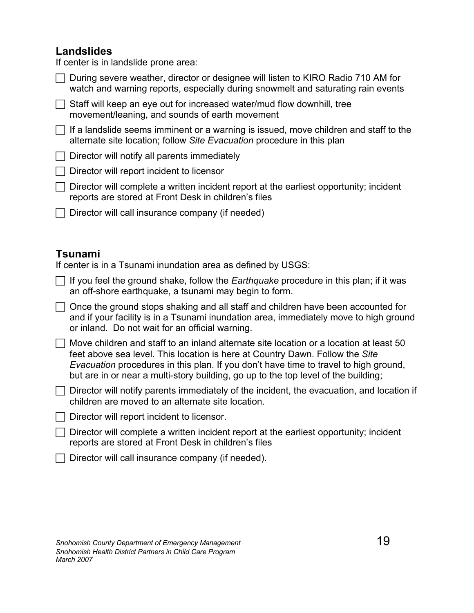### **Landslides**

If center is in landslide prone area:

| □ During severe weather, director or designee will listen to KIRO Radio 710 AM for |
|------------------------------------------------------------------------------------|
| watch and warning reports, especially during snowmelt and saturating rain events   |

| $\Box$ Staff will keep an eye out for increased water/mud flow downhill, tree |  |
|-------------------------------------------------------------------------------|--|
| movement/leaning, and sounds of earth movement                                |  |

- $\Box$  If a landslide seems imminent or a warning is issued, move children and staff to the alternate site location; follow *Site Evacuation* procedure in this plan
- $\Box$  Director will notify all parents immediately
- $\Box$  Director will report incident to licensor
- $\Box$  Director will complete a written incident report at the earliest opportunity; incident reports are stored at Front Desk in children's files
- $\Box$  Director will call insurance company (if needed)

# **Tsunami**

If center is in a Tsunami inundation area as defined by USGS:

- $\Box$  If you feel the ground shake, follow the *Earthquake* procedure in this plan; if it was an off-shore earthquake, a tsunami may begin to form.
- $\Box$  Once the ground stops shaking and all staff and children have been accounted for and if your facility is in a Tsunami inundation area, immediately move to high ground or inland. Do not wait for an official warning.
- $\Box$  Move children and staff to an inland alternate site location or a location at least 50 feet above sea level. This location is here at Country Dawn. Follow the *Site Evacuation* procedures in this plan. If you don't have time to travel to high ground, but are in or near a multi-story building, go up to the top level of the building;
- $\Box$  Director will notify parents immediately of the incident, the evacuation, and location if children are moved to an alternate site location.
- $\Box$  Director will report incident to licensor.
- $\Box$  Director will complete a written incident report at the earliest opportunity; incident reports are stored at Front Desk in children's files
- Director will call insurance company (if needed).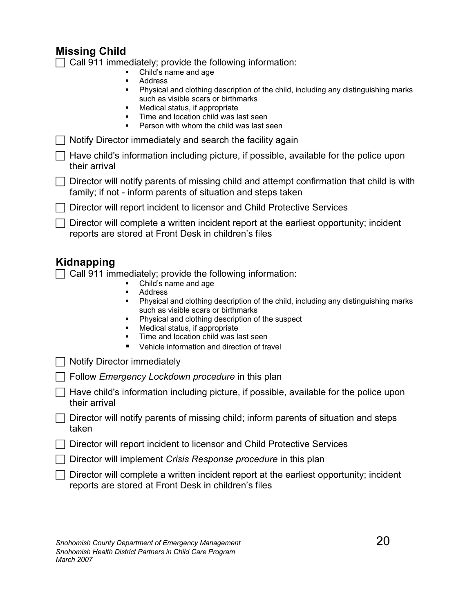# **Missing Child**

 $\Box$  Call 911 immediately; provide the following information:

- § Child's name and age
- § Address
- § Physical and clothing description of the child, including any distinguishing marks such as visible scars or birthmarks
- Medical status, if appropriate
- Time and location child was last seen
- § Person with whom the child was last seen

 $\Box$  Notify Director immediately and search the facility again

| $\Box$ Have child's information including picture, if possible, available for the police upon |  |  |
|-----------------------------------------------------------------------------------------------|--|--|
| their arrival                                                                                 |  |  |

| $\Box$ Director will notify parents of missing child and attempt confirmation that child is with |
|--------------------------------------------------------------------------------------------------|
| family; if not - inform parents of situation and steps taken                                     |

 $\Box$  Director will report incident to licensor and Child Protective Services

 $\Box$  Director will complete a written incident report at the earliest opportunity; incident reports are stored at Front Desk in children's files

# **Kidnapping**

 $\Box$  Call 911 immediately; provide the following information:

- § Child's name and age
- Address
- § Physical and clothing description of the child, including any distinguishing marks such as visible scars or birthmarks
- Physical and clothing description of the suspect
- **•** Medical status, if appropriate
- **•** Time and location child was last seen
- § Vehicle information and direction of travel

 $\Box$  Notify Director immediately

|  | Follow Emergency Lockdown procedure in this plan |  |  |  |  |
|--|--------------------------------------------------|--|--|--|--|
|--|--------------------------------------------------|--|--|--|--|

| $\Box$ Have child's information including picture, if possible, available for the police upon |  |  |
|-----------------------------------------------------------------------------------------------|--|--|
| their arrival                                                                                 |  |  |

- $\Box$  Director will notify parents of missing child; inform parents of situation and steps taken
- $\Box$  Director will report incident to licensor and Child Protective Services
- □ Director will implement *Crisis Response procedure* in this plan
- $\Box$  Director will complete a written incident report at the earliest opportunity; incident reports are stored at Front Desk in children's files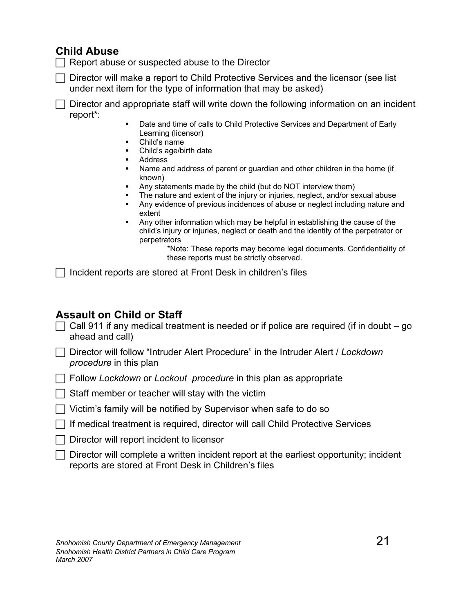# **Child Abuse**

 $\Box$  Report abuse or suspected abuse to the Director

 $\Box$  Director will make a report to Child Protective Services and the licensor (see list under next item for the type of information that may be asked)

 $\Box$  Director and appropriate staff will write down the following information on an incident report\*:

- Date and time of calls to Child Protective Services and Department of Early Learning (licensor)
- § Child's name
- Child's age/birth date
- **Address**
- Name and address of parent or quardian and other children in the home (if known)
- **•** Any statements made by the child (but do NOT interview them)
- § The nature and extent of the injury or injuries, neglect, and/or sexual abuse
- **Any evidence of previous incidences of abuse or neglect including nature and** extent
- § Any other information which may be helpful in establishing the cause of the child's injury or injuries, neglect or death and the identity of the perpetrator or perpetrators

\*Note: These reports may become legal documents. Confidentiality of these reports must be strictly observed.

 $\Box$  Incident reports are stored at Front Desk in children's files

# **Assault on Child or Staff**

| $\Box$ Call 911 if any medical treatment is needed or if police are required (if in doubt – go<br>ahead and call) |
|-------------------------------------------------------------------------------------------------------------------|
| Director will follow "Intruder Alert Procedure" in the Intruder Alert / Lockdown<br><i>procedure</i> in this plan |
| $\Box$ Follow Lockdown or Lockout procedure in this plan as appropriate                                           |
| $\Box$ Staff member or teacher will stay with the victim                                                          |
| $\Box$ Victim's family will be notified by Supervisor when safe to do so                                          |
| $\Box$ If medical treatment is required, director will call Child Protective Services                             |
|                                                                                                                   |

- $\Box$  Director will report incident to licensor
- $\Box$  Director will complete a written incident report at the earliest opportunity; incident reports are stored at Front Desk in Children's files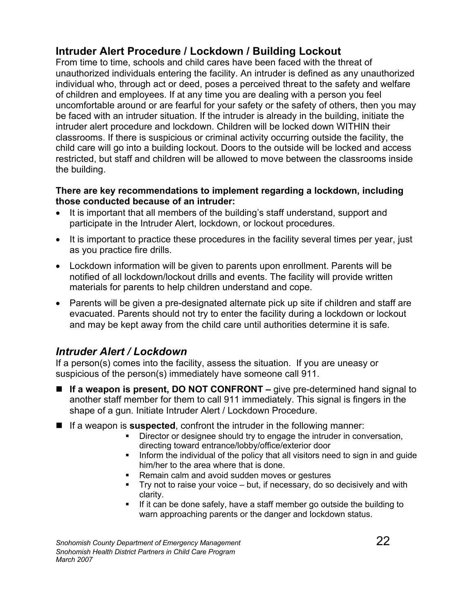# **Intruder Alert Procedure / Lockdown / Building Lockout**

From time to time, schools and child cares have been faced with the threat of unauthorized individuals entering the facility. An intruder is defined as any unauthorized individual who, through act or deed, poses a perceived threat to the safety and welfare of children and employees. If at any time you are dealing with a person you feel uncomfortable around or are fearful for your safety or the safety of others, then you may be faced with an intruder situation. If the intruder is already in the building, initiate the intruder alert procedure and lockdown. Children will be locked down WITHIN their classrooms. If there is suspicious or criminal activity occurring outside the facility, the child care will go into a building lockout. Doors to the outside will be locked and access restricted, but staff and children will be allowed to move between the classrooms inside the building.

### **There are key recommendations to implement regarding a lockdown, including those conducted because of an intruder:**

- It is important that all members of the building's staff understand, support and participate in the Intruder Alert, lockdown, or lockout procedures.
- It is important to practice these procedures in the facility several times per year, just as you practice fire drills.
- Lockdown information will be given to parents upon enrollment. Parents will be notified of all lockdown/lockout drills and events. The facility will provide written materials for parents to help children understand and cope.
- Parents will be given a pre-designated alternate pick up site if children and staff are evacuated. Parents should not try to enter the facility during a lockdown or lockout and may be kept away from the child care until authorities determine it is safe.

# *Intruder Alert / Lockdown*

If a person(s) comes into the facility, assess the situation. If you are uneasy or suspicious of the person(s) immediately have someone call 911.

- If a weapon is present, DO NOT CONFRONT give pre-determined hand signal to another staff member for them to call 911 immediately. This signal is fingers in the shape of a gun*.* Initiate Intruder Alert / Lockdown Procedure.
- If a weapon is **suspected**, confront the intruder in the following manner:
	- Director or designee should try to engage the intruder in conversation, directing toward entrance/lobby/office/exterior door
	- Inform the individual of the policy that all visitors need to sign in and guide him/her to the area where that is done.
	- § Remain calm and avoid sudden moves or gestures
	- **•** Try not to raise your voice but, if necessary, do so decisively and with clarity.
	- If it can be done safely, have a staff member go outside the building to warn approaching parents or the danger and lockdown status.

*Snohomish County Department of Emergency Management* 22 *Snohomish Health District Partners in Child Care Program March 2007*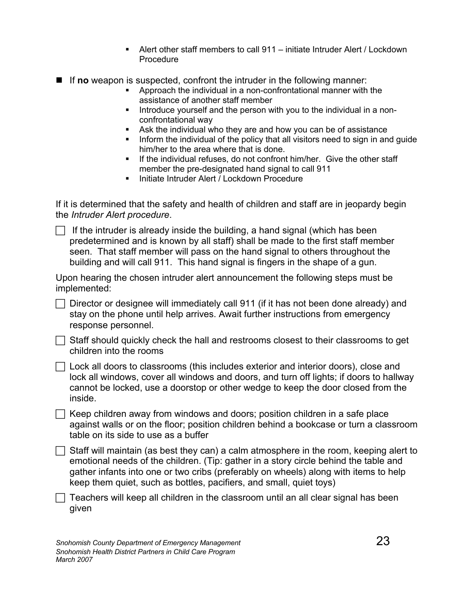§ Alert other staff members to call 911 – initiate Intruder Alert / Lockdown Procedure

■ If **no** weapon is suspected, confront the intruder in the following manner:

- § Approach the individual in a non-confrontational manner with the assistance of another staff member
- Introduce yourself and the person with you to the individual in a nonconfrontational way
- **Ask the individual who they are and how you can be of assistance**
- Inform the individual of the policy that all visitors need to sign in and quide him/her to the area where that is done.
- **•** If the individual refuses, do not confront him/her. Give the other staff member the pre-designated hand signal to call 911
- Initiate Intruder Alert / Lockdown Procedure

If it is determined that the safety and health of children and staff are in jeopardy begin the *Intruder Alert procedure*.

 $\Box$  If the intruder is already inside the building, a hand signal (which has been predetermined and is known by all staff) shall be made to the first staff member seen. That staff member will pass on the hand signal to others throughout the building and will call 911. This hand signal is fingers in the shape of a gun.

Upon hearing the chosen intruder alert announcement the following steps must be implemented:

 $\Box$  Director or designee will immediately call 911 (if it has not been done already) and stay on the phone until help arrives. Await further instructions from emergency response personnel.

 $\Box$  Staff should quickly check the hall and restrooms closest to their classrooms to get children into the rooms

 $\Box$  Lock all doors to classrooms (this includes exterior and interior doors), close and lock all windows, cover all windows and doors, and turn off lights; if doors to hallway cannot be locked, use a doorstop or other wedge to keep the door closed from the inside.

 $\Box$  Keep children away from windows and doors; position children in a safe place against walls or on the floor; position children behind a bookcase or turn a classroom table on its side to use as a buffer

 $\Box$  Staff will maintain (as best they can) a calm atmosphere in the room, keeping alert to emotional needs of the children. (Tip: gather in a story circle behind the table and gather infants into one or two cribs (preferably on wheels) along with items to help keep them quiet, such as bottles, pacifiers, and small, quiet toys)

 $\Box$  Teachers will keep all children in the classroom until an all clear signal has been given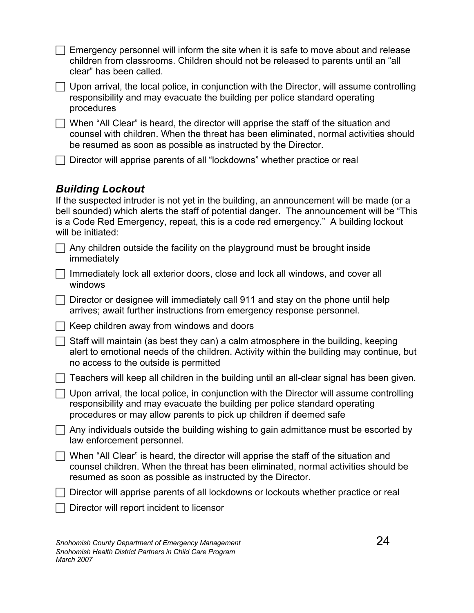| Emergency personnel will inform the site when it is safe to move about and release<br>children from classrooms. Children should not be released to parents until an "all<br>clear" has been called.                                                                                                                         |
|-----------------------------------------------------------------------------------------------------------------------------------------------------------------------------------------------------------------------------------------------------------------------------------------------------------------------------|
| Upon arrival, the local police, in conjunction with the Director, will assume controlling<br>responsibility and may evacuate the building per police standard operating<br>procedures                                                                                                                                       |
| $\Box$ When "All Clear" is heard, the director will apprise the staff of the situation and<br>counsel with children. When the threat has been eliminated, normal activities should<br>be resumed as soon as possible as instructed by the Director.                                                                         |
| Director will apprise parents of all "lockdowns" whether practice or real                                                                                                                                                                                                                                                   |
|                                                                                                                                                                                                                                                                                                                             |
| <b>Building Lockout</b><br>If the suspected intruder is not yet in the building, an announcement will be made (or a<br>bell sounded) which alerts the staff of potential danger. The announcement will be "This<br>is a Code Red Emergency, repeat, this is a code red emergency." A building lockout<br>will be initiated: |
| Any children outside the facility on the playground must be brought inside<br>immediately                                                                                                                                                                                                                                   |
| Immediately lock all exterior doors, close and lock all windows, and cover all<br>windows                                                                                                                                                                                                                                   |
| Director or designee will immediately call 911 and stay on the phone until help<br>arrives; await further instructions from emergency response personnel.                                                                                                                                                                   |
| Keep children away from windows and doors                                                                                                                                                                                                                                                                                   |
| Staff will maintain (as best they can) a calm atmosphere in the building, keeping<br>alert to emotional needs of the children. Activity within the building may continue, but<br>no access to the outside is permitted                                                                                                      |
| Teachers will keep all children in the building until an all-clear signal has been given.                                                                                                                                                                                                                                   |
| Upon arrival, the local police, in conjunction with the Director will assume controlling<br>responsibility and may evacuate the building per police standard operating<br>procedures or may allow parents to pick up children if deemed safe                                                                                |
| Any individuals outside the building wishing to gain admittance must be escorted by<br>law enforcement personnel.                                                                                                                                                                                                           |
| When "All Clear" is heard, the director will apprise the staff of the situation and<br>counsel children. When the threat has been eliminated, normal activities should be<br>resumed as soon as possible as instructed by the Director.                                                                                     |

- $\Box$  Director will apprise parents of all lockdowns or lockouts whether practice or real
- $\Box$  Director will report incident to licensor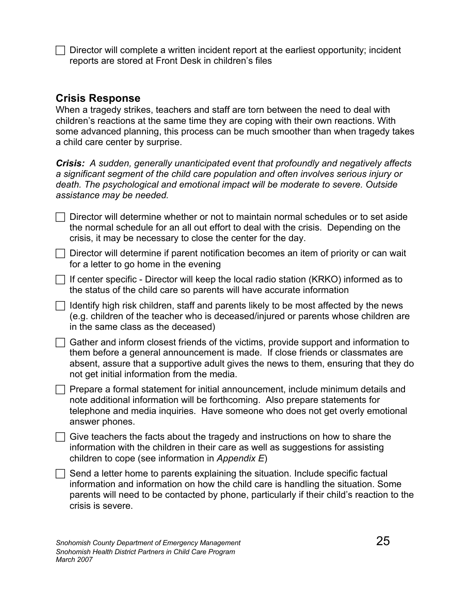$\Box$  Director will complete a written incident report at the earliest opportunity; incident reports are stored at Front Desk in children's files

# **Crisis Response**

When a tragedy strikes, teachers and staff are torn between the need to deal with children's reactions at the same time they are coping with their own reactions. With some advanced planning, this process can be much smoother than when tragedy takes a child care center by surprise.

*Crisis: A sudden, generally unanticipated event that profoundly and negatively affects a significant segment of the child care population and often involves serious injury or death. The psychological and emotional impact will be moderate to severe. Outside assistance may be needed.*

- $\Box$  Director will determine whether or not to maintain normal schedules or to set aside the normal schedule for an all out effort to deal with the crisis. Depending on the crisis, it may be necessary to close the center for the day.
- $\Box$  Director will determine if parent notification becomes an item of priority or can wait for a letter to go home in the evening

 $\Box$  If center specific - Director will keep the local radio station (KRKO) informed as to the status of the child care so parents will have accurate information

- $\Box$  Identify high risk children, staff and parents likely to be most affected by the news (e.g. children of the teacher who is deceased/injured or parents whose children are in the same class as the deceased)
- $\Box$  Gather and inform closest friends of the victims, provide support and information to them before a general announcement is made. If close friends or classmates are absent, assure that a supportive adult gives the news to them, ensuring that they do not get initial information from the media.
- $\Box$  Prepare a formal statement for initial announcement, include minimum details and note additional information will be forthcoming. Also prepare statements for telephone and media inquiries. Have someone who does not get overly emotional answer phones.
- $\Box$  Give teachers the facts about the tragedy and instructions on how to share the information with the children in their care as well as suggestions for assisting children to cope (see information in *Appendix E*)
- $\Box$  Send a letter home to parents explaining the situation. Include specific factual information and information on how the child care is handling the situation. Some parents will need to be contacted by phone, particularly if their child's reaction to the crisis is severe.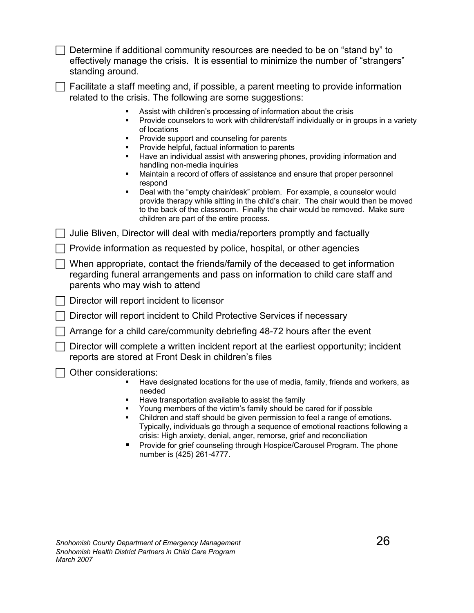| Determine if additional community resources are needed to be on "stand by" to<br>effectively manage the crisis. It is essential to minimize the number of "strangers"<br>standing around.                                                                                                                                                                                                                                                                                                                                                                                                                                                                                                                                                                                                                         |
|-------------------------------------------------------------------------------------------------------------------------------------------------------------------------------------------------------------------------------------------------------------------------------------------------------------------------------------------------------------------------------------------------------------------------------------------------------------------------------------------------------------------------------------------------------------------------------------------------------------------------------------------------------------------------------------------------------------------------------------------------------------------------------------------------------------------|
| Facilitate a staff meeting and, if possible, a parent meeting to provide information<br>related to the crisis. The following are some suggestions:                                                                                                                                                                                                                                                                                                                                                                                                                                                                                                                                                                                                                                                                |
| Assist with children's processing of information about the crisis<br>٠<br>Provide counselors to work with children/staff individually or in groups in a variety<br>٠<br>of locations<br>Provide support and counseling for parents<br>٠<br>Provide helpful, factual information to parents<br>٠<br>Have an individual assist with answering phones, providing information and<br>٠<br>handling non-media inquiries<br>Maintain a record of offers of assistance and ensure that proper personnel<br>٠<br>respond<br>Deal with the "empty chair/desk" problem. For example, a counselor would<br>٠<br>provide therapy while sitting in the child's chair. The chair would then be moved<br>to the back of the classroom. Finally the chair would be removed. Make sure<br>children are part of the entire process. |
| Julie Bliven, Director will deal with media/reporters promptly and factually                                                                                                                                                                                                                                                                                                                                                                                                                                                                                                                                                                                                                                                                                                                                      |
| Provide information as requested by police, hospital, or other agencies                                                                                                                                                                                                                                                                                                                                                                                                                                                                                                                                                                                                                                                                                                                                           |
| When appropriate, contact the friends/family of the deceased to get information<br>regarding funeral arrangements and pass on information to child care staff and<br>parents who may wish to attend                                                                                                                                                                                                                                                                                                                                                                                                                                                                                                                                                                                                               |
| Director will report incident to licensor                                                                                                                                                                                                                                                                                                                                                                                                                                                                                                                                                                                                                                                                                                                                                                         |
| Director will report incident to Child Protective Services if necessary                                                                                                                                                                                                                                                                                                                                                                                                                                                                                                                                                                                                                                                                                                                                           |
| Arrange for a child care/community debriefing 48-72 hours after the event                                                                                                                                                                                                                                                                                                                                                                                                                                                                                                                                                                                                                                                                                                                                         |
| Director will complete a written incident report at the earliest opportunity; incident<br>reports are stored at Front Desk in children's files                                                                                                                                                                                                                                                                                                                                                                                                                                                                                                                                                                                                                                                                    |
| Other considerations:<br>Have designated locations for the use of media, family, friends and workers, as<br>needed<br>Have transportation available to assist the family<br>٠<br>Young members of the victim's family should be cared for if possible<br>Children and staff should be given permission to feel a range of emotions.<br>٠<br>Typically, individuals go through a sequence of emotional reactions following a<br>crisis: High anxiety, denial, anger, remorse, grief and reconciliation<br>Provide for grief counseling through Hospice/Carousel Program. The phone<br>п<br>number is (425) 261-4777.                                                                                                                                                                                               |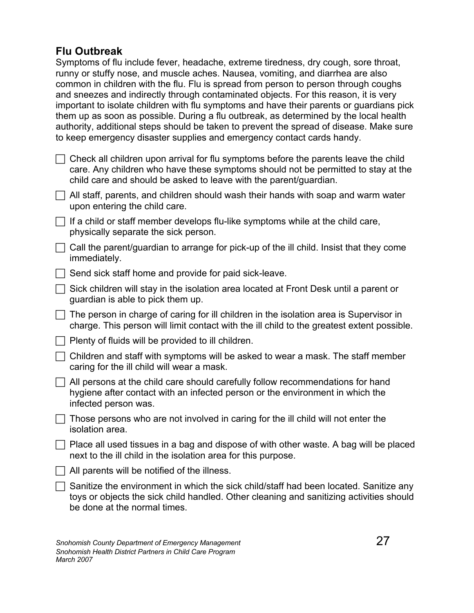# **Flu Outbreak**

Symptoms of flu include fever, headache, extreme tiredness, dry cough, sore throat, runny or stuffy nose, and muscle aches. Nausea, vomiting, and diarrhea are also common in children with the flu. Flu is spread from person to person through coughs and sneezes and indirectly through contaminated objects. For this reason, it is very important to isolate children with flu symptoms and have their parents or guardians pick them up as soon as possible. During a flu outbreak, as determined by the local health authority, additional steps should be taken to prevent the spread of disease. Make sure to keep emergency disaster supplies and emergency contact cards handy.

| $\Box$ Check all children upon arrival for flu symptoms before the parents leave the child |
|--------------------------------------------------------------------------------------------|
| care. Any children who have these symptoms should not be permitted to stay at the          |
| child care and should be asked to leave with the parent/guardian.                          |

- $\Box$  All staff, parents, and children should wash their hands with soap and warm water upon entering the child care.
- $\Box$  If a child or staff member develops flu-like symptoms while at the child care, physically separate the sick person.
- $\Box$  Call the parent/guardian to arrange for pick-up of the ill child. Insist that they come immediately.
- $\Box$  Send sick staff home and provide for paid sick-leave.
- $\Box$  Sick children will stay in the isolation area located at Front Desk until a parent or guardian is able to pick them up.
- $\Box$  The person in charge of caring for ill children in the isolation area is Supervisor in charge. This person will limit contact with the ill child to the greatest extent possible.
- $\Box$  Plenty of fluids will be provided to ill children.
- $\Box$  Children and staff with symptoms will be asked to wear a mask. The staff member caring for the ill child will wear a mask.
- $\Box$  All persons at the child care should carefully follow recommendations for hand hygiene after contact with an infected person or the environment in which the infected person was.
- $\Box$  Those persons who are not involved in caring for the ill child will not enter the isolation area.
- $\Box$  Place all used tissues in a bag and dispose of with other waste. A bag will be placed next to the ill child in the isolation area for this purpose.
- $\Box$  All parents will be notified of the illness.
- $\Box$  Sanitize the environment in which the sick child/staff had been located. Sanitize any toys or objects the sick child handled. Other cleaning and sanitizing activities should be done at the normal times.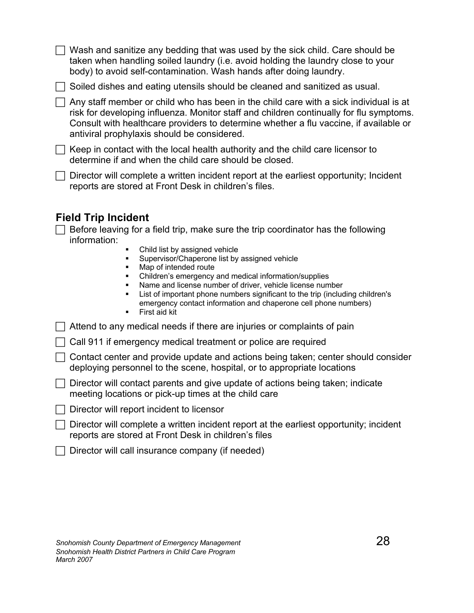| Wash and sanitize any bedding that was used by the sick child. Care should be<br>taken when handling soiled laundry (i.e. avoid holding the laundry close to your<br>body) to avoid self-contamination. Wash hands after doing laundry.                                                                                                                                                                                                                                                                                                                                           |
|-----------------------------------------------------------------------------------------------------------------------------------------------------------------------------------------------------------------------------------------------------------------------------------------------------------------------------------------------------------------------------------------------------------------------------------------------------------------------------------------------------------------------------------------------------------------------------------|
| Soiled dishes and eating utensils should be cleaned and sanitized as usual.                                                                                                                                                                                                                                                                                                                                                                                                                                                                                                       |
| Any staff member or child who has been in the child care with a sick individual is at<br>risk for developing influenza. Monitor staff and children continually for flu symptoms.<br>Consult with healthcare providers to determine whether a flu vaccine, if available or<br>antiviral prophylaxis should be considered.                                                                                                                                                                                                                                                          |
| Keep in contact with the local health authority and the child care licensor to<br>determine if and when the child care should be closed.                                                                                                                                                                                                                                                                                                                                                                                                                                          |
| Director will complete a written incident report at the earliest opportunity; Incident<br>reports are stored at Front Desk in children's files.                                                                                                                                                                                                                                                                                                                                                                                                                                   |
| <b>Field Trip Incident</b><br>Before leaving for a field trip, make sure the trip coordinator has the following<br>information:<br>Child list by assigned vehicle<br>Supervisor/Chaperone list by assigned vehicle<br>٠<br>Map of intended route<br>٠<br>Children's emergency and medical information/supplies<br>٠<br>Name and license number of driver, vehicle license number<br>٠<br>List of important phone numbers significant to the trip (including children's<br>$\blacksquare$<br>emergency contact information and chaperone cell phone numbers)<br>First aid kit<br>٠ |
| Attend to any medical needs if there are injuries or complaints of pain                                                                                                                                                                                                                                                                                                                                                                                                                                                                                                           |
| Call 911 if emergency medical treatment or police are required                                                                                                                                                                                                                                                                                                                                                                                                                                                                                                                    |
| Contact center and provide update and actions being taken; center should consider<br>deploying personnel to the scene, hospital, or to appropriate locations                                                                                                                                                                                                                                                                                                                                                                                                                      |

- $\Box$  Director will contact parents and give update of actions being taken; indicate meeting locations or pick-up times at the child care
- $\Box$  Director will report incident to licensor
- $\Box$  Director will complete a written incident report at the earliest opportunity; incident reports are stored at Front Desk in children's files
- $\Box$  Director will call insurance company (if needed)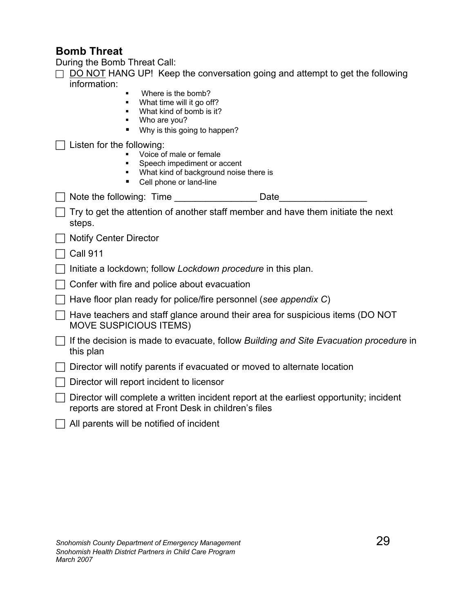# **Bomb Threat**

During the Bomb Threat Call:

|              | □ DO NOT HANG UP! Keep the conversation going and attempt to get the following |  |
|--------------|--------------------------------------------------------------------------------|--|
| information: |                                                                                |  |

- Where is the bomb?
- § What time will it go off?
- What kind of bomb is it?
- Who are you?
- Why is this going to happen?

 $\Box$  Listen for the following:

- § Voice of male or female
- § Speech impediment or accent
- What kind of background noise there is
- Cell phone or land-line

| $\Box$ Note the following: Time |  |
|---------------------------------|--|
|---------------------------------|--|

 $\Box$  Try to get the attention of another staff member and have them initiate the next steps.

 $\Box$  Notify Center Director

- □ Initiate a lockdown; follow *Lockdown procedure* in this plan.
- $\Box$  Confer with fire and police about evacuation
- c Have floor plan ready for police/fire personnel (*see appendix C*)
- $\Box$  Have teachers and staff glance around their area for suspicious items (DO NOT MOVE SUSPICIOUS ITEMS)
- □ If the decision is made to evacuate, follow *Building and Site Evacuation procedure* in this plan
- $\Box$  Director will notify parents if evacuated or moved to alternate location
- $\Box$  Director will report incident to licensor
- $\Box$  Director will complete a written incident report at the earliest opportunity; incident reports are stored at Front Desk in children's files
- $\Box$  All parents will be notified of incident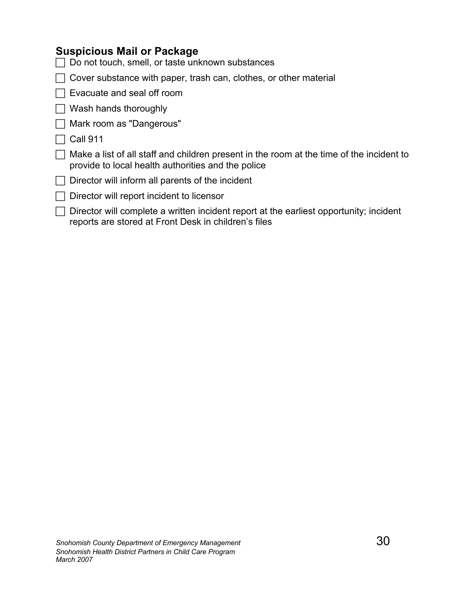# **Suspicious Mail or Package**

- $\Box$  Do not touch, smell, or taste unknown substances
- $\Box$  Cover substance with paper, trash can, clothes, or other material
- $\Box$  Evacuate and seal off room
- $\Box$  Wash hands thoroughly
- $\Box$  Mark room as "Dangerous"
- $\Box$  Call 911
- $\Box$  Make a list of all staff and children present in the room at the time of the incident to provide to local health authorities and the police
- $\Box$  Director will inform all parents of the incident
- $\Box$  Director will report incident to licensor
- $\Box$  Director will complete a written incident report at the earliest opportunity; incident reports are stored at Front Desk in children's files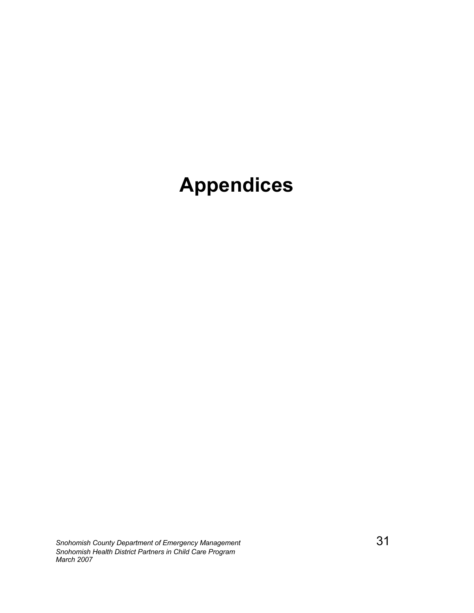# **Appendices**

*Snohomish County Department of Emergency Management* 31 *Snohomish Health District Partners in Child Care Program March 2007*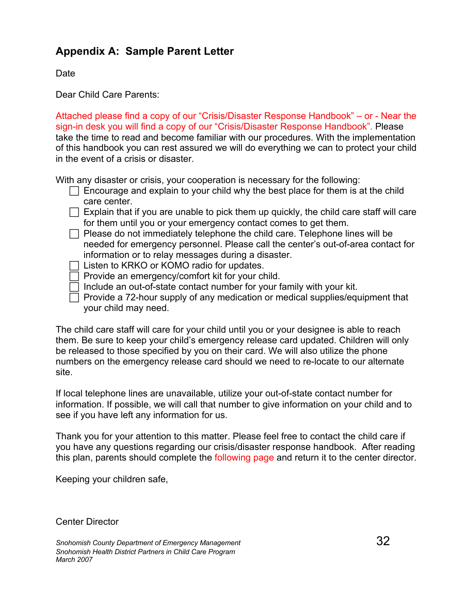# **Appendix A: Sample Parent Letter**

Date

Dear Child Care Parents:

Attached please find a copy of our "Crisis/Disaster Response Handbook" – or - Near the sign-in desk you will find a copy of our "Crisis/Disaster Response Handbook". Please take the time to read and become familiar with our procedures. With the implementation of this handbook you can rest assured we will do everything we can to protect your child in the event of a crisis or disaster.

With any disaster or crisis, your cooperation is necessary for the following:

- $\Box$  Encourage and explain to your child why the best place for them is at the child care center.
- $\Box$  Explain that if you are unable to pick them up quickly, the child care staff will care for them until you or your emergency contact comes to get them.
- $\Box$  Please do not immediately telephone the child care. Telephone lines will be needed for emergency personnel. Please call the center's out-of-area contact for information or to relay messages during a disaster.
- T Listen to KRKO or KOMO radio for updates.
- $\Box$  Provide an emergency/comfort kit for your child.
- $\Box$  Include an out-of-state contact number for your family with your kit.
- $\Box$  Provide a 72-hour supply of any medication or medical supplies/equipment that your child may need.

The child care staff will care for your child until you or your designee is able to reach them. Be sure to keep your child's emergency release card updated. Children will only be released to those specified by you on their card. We will also utilize the phone numbers on the emergency release card should we need to re-locate to our alternate site.

If local telephone lines are unavailable, utilize your out-of-state contact number for information. If possible, we will call that number to give information on your child and to see if you have left any information for us.

Thank you for your attention to this matter. Please feel free to contact the child care if you have any questions regarding our crisis/disaster response handbook. After reading this plan, parents should complete the following page and return it to the center director.

Keeping your children safe,

Center Director

*Snohomish County Department of Emergency Management* 32 *Snohomish Health District Partners in Child Care Program March 2007*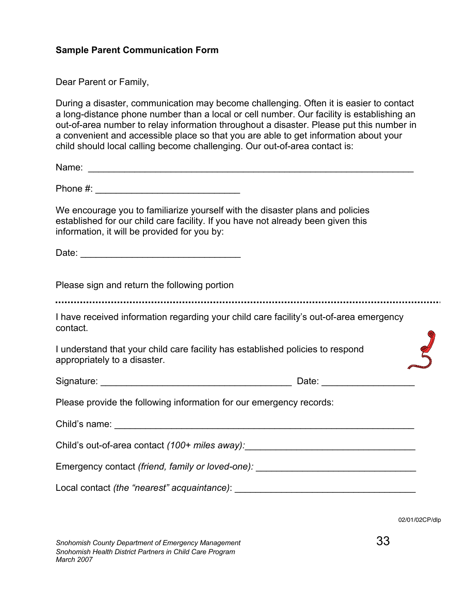### **Sample Parent Communication Form**

Dear Parent or Family,

During a disaster, communication may become challenging. Often it is easier to contact a long-distance phone number than a local or cell number. Our facility is establishing an out-of-area number to relay information throughout a disaster. Please put this number in a convenient and accessible place so that you are able to get information about your child should local calling become challenging. Our out-of-area contact is:

Name: \_\_\_\_\_\_\_\_\_\_\_\_\_\_\_\_\_\_\_\_\_\_\_\_\_\_\_\_\_\_\_\_\_\_\_\_\_\_\_\_\_\_\_\_\_\_\_\_\_\_\_\_\_\_\_\_\_\_\_\_\_\_\_

Phone #: \_\_\_\_\_\_\_\_\_\_\_\_\_\_\_\_\_\_\_\_\_\_\_\_\_\_\_\_

We encourage you to familiarize yourself with the disaster plans and policies established for our child care facility. If you have not already been given this information, it will be provided for you by:

Date: \_\_\_\_\_\_\_\_\_\_\_\_\_\_\_\_\_\_\_\_\_\_\_\_\_\_\_\_\_\_\_

Please sign and return the following portion

I have received information regarding your child care facility's out-of-area emergency contact.

I understand that your child care facility has established policies to respond appropriately to a disaster.

Signature: \_\_\_\_\_\_\_\_\_\_\_\_\_\_\_\_\_\_\_\_\_\_\_\_\_\_\_\_\_\_\_\_\_\_\_\_\_ Date: \_\_\_\_\_\_\_\_\_\_\_\_\_\_\_\_\_\_

Please provide the following information for our emergency records:

| Child's name: |  |  |  |  |  |
|---------------|--|--|--|--|--|
|               |  |  |  |  |  |

Child's out-of-area contact  $(100+$  miles away):

Emergency contact *(friend, family or loved-one):* **Emergency contact** 

Local contact *(the "nearest" acquaintance)*: \_\_\_\_\_\_\_\_\_\_\_\_\_\_\_\_\_\_\_\_\_\_\_\_\_\_\_\_\_\_\_\_\_\_\_

02/01/02CP/dlp

| Snohomish County Department of Emergency Management                           | 33 |
|-------------------------------------------------------------------------------|----|
| Snohomish Health District Partners in Child Care Program<br><i>March 2007</i> |    |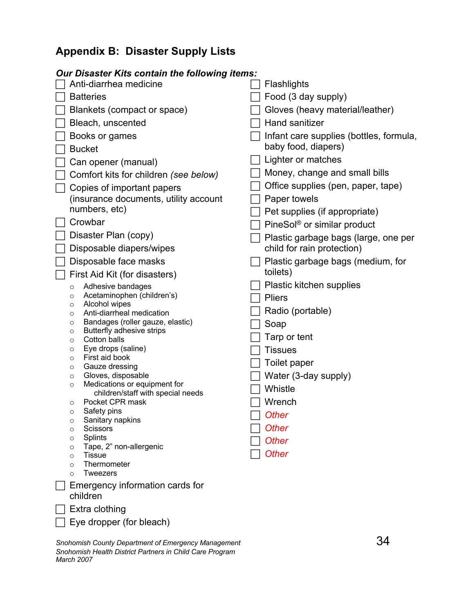# **Appendix B: Disaster Supply Lists**

| <b>Our Disaster Kits contain the following items:</b> |                                         |  |  |  |  |  |
|-------------------------------------------------------|-----------------------------------------|--|--|--|--|--|
| Anti-diarrhea medicine                                | Flashlights                             |  |  |  |  |  |
| <b>Batteries</b>                                      | Food (3 day supply)                     |  |  |  |  |  |
| Blankets (compact or space)                           | Gloves (heavy material/leather)         |  |  |  |  |  |
| Bleach, unscented                                     | Hand sanitizer                          |  |  |  |  |  |
| Books or games                                        | Infant care supplies (bottles, formula, |  |  |  |  |  |
| <b>Bucket</b>                                         | baby food, diapers)                     |  |  |  |  |  |
| Can opener (manual)                                   | Lighter or matches                      |  |  |  |  |  |
| Comfort kits for children (see below)                 | Money, change and small bills           |  |  |  |  |  |
| Copies of important papers                            | Office supplies (pen, paper, tape)      |  |  |  |  |  |
| (insurance documents, utility account                 | Paper towels                            |  |  |  |  |  |
| numbers, etc)                                         | Pet supplies (if appropriate)           |  |  |  |  |  |
| Crowbar                                               | PineSol <sup>®</sup> or similar product |  |  |  |  |  |
| Disaster Plan (copy)                                  | Plastic garbage bags (large, one per    |  |  |  |  |  |
| Disposable diapers/wipes                              | child for rain protection)              |  |  |  |  |  |
| Disposable face masks                                 | Plastic garbage bags (medium, for       |  |  |  |  |  |
| First Aid Kit (for disasters)                         | toilets)                                |  |  |  |  |  |
| Adhesive bandages<br>$\circ$                          | Plastic kitchen supplies                |  |  |  |  |  |
| Acetaminophen (children's)<br>O<br>Alcohol wipes      | <b>Pliers</b>                           |  |  |  |  |  |
| $\circ$<br>Anti-diarrheal medication<br>$\circ$       | Radio (portable)                        |  |  |  |  |  |
| Bandages (roller gauze, elastic)<br>$\circ$           | Soap                                    |  |  |  |  |  |
| Butterfly adhesive strips<br>$\circ$                  | Tarp or tent                            |  |  |  |  |  |
| Cotton balls<br>$\circ$<br>Eye drops (saline)         |                                         |  |  |  |  |  |
| $\circ$<br>First aid book<br>$\circ$                  | <b>Tissues</b>                          |  |  |  |  |  |
| Gauze dressing<br>$\circ$                             | Toilet paper                            |  |  |  |  |  |
| Gloves, disposable<br>$\circ$                         | Water (3-day supply)                    |  |  |  |  |  |
| Medications or equipment for<br>$\circ$               | Whistle                                 |  |  |  |  |  |
| children/staff with special needs<br>Pocket CPR mask  | Wrench                                  |  |  |  |  |  |
| $\circ$<br>Safety pins<br>$\circ$                     |                                         |  |  |  |  |  |
| Sanitary napkins<br>O                                 | <b>Other</b>                            |  |  |  |  |  |
| <b>Scissors</b><br>O                                  | <b>Other</b>                            |  |  |  |  |  |
| Splints<br>O                                          | <b>Other</b>                            |  |  |  |  |  |
| Tape, 2" non-allergenic<br>$\circ$                    |                                         |  |  |  |  |  |
| <b>Tissue</b><br>$\circ$                              | <b>Other</b>                            |  |  |  |  |  |
| Thermometer<br>$\circ$<br><b>Tweezers</b>             |                                         |  |  |  |  |  |
| $\circ$                                               |                                         |  |  |  |  |  |
| Emergency information cards for<br>children           |                                         |  |  |  |  |  |
| Extra clothing                                        |                                         |  |  |  |  |  |
|                                                       |                                         |  |  |  |  |  |

**Snohomish County Department of Emergency Management** 34 *Snohomish Health District Partners in Child Care Program March 2007*

 $\Box$  Eye dropper (for bleach)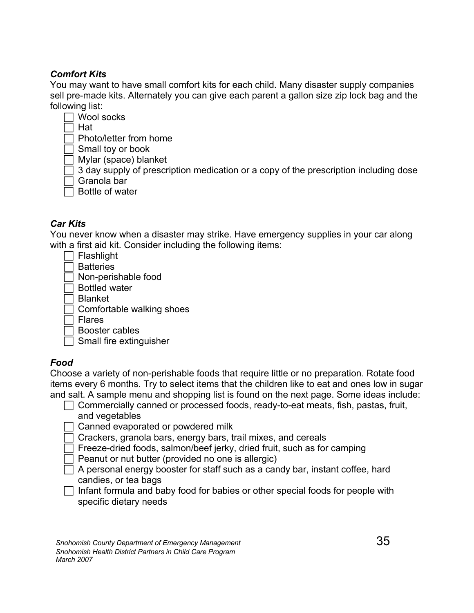# *Comfort Kits*

You may want to have small comfort kits for each child. Many disaster supply companies sell pre-made kits. Alternately you can give each parent a gallon size zip lock bag and the following list:

 $\Box$  Wool socks

 $\sqcap$  Hat

 $\Box$  Photo/letter from home

 $\Box$  Small toy or book

 $\sqcap$  Mylar (space) blanket

 $\exists$  3 day supply of prescription medication or a copy of the prescription including dose

1 Granola bar

Bottle of water

### *Car Kits*

You never know when a disaster may strike. Have emergency supplies in your car along with a first aid kit. Consider including the following items:

 $\Box$  Flashlight

 $\Box$  Batteries

 $\Box$  Non-perishable food

 $\sqsupset$  Bottled water

c Blanket

 $\Box$  Comfortable walking shoes

1 Flares

Booster cables

 $\exists$  Small fire extinguisher

# *Food*

Choose a variety of non-perishable foods that require little or no preparation. Rotate food items every 6 months. Try to select items that the children like to eat and ones low in sugar and salt. A sample menu and shopping list is found on the next page. Some ideas include:

 $\Box$  Commercially canned or processed foods, ready-to-eat meats, fish, pastas, fruit, and vegetables

 $\Box$  Canned evaporated or powdered milk

 $\Box$  Crackers, granola bars, energy bars, trail mixes, and cereals

 $\Box$  Freeze-dried foods, salmon/beef jerky, dried fruit, such as for camping

 $\Box$  Peanut or nut butter (provided no one is allergic)

 $\Box$  A personal energy booster for staff such as a candy bar, instant coffee, hard candies, or tea bags

 $\Box$  Infant formula and baby food for babies or other special foods for people with specific dietary needs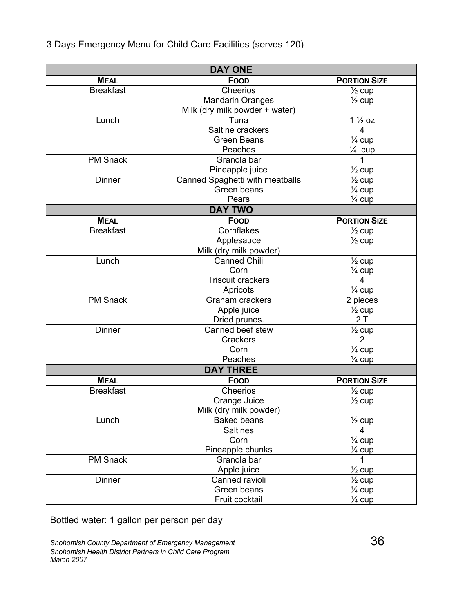3 Days Emergency Menu for Child Care Facilities (serves 120)

|                  | <b>DAY ONE</b>                  |                     |
|------------------|---------------------------------|---------------------|
| <b>MEAL</b>      | <b>FOOD</b>                     | <b>PORTION SIZE</b> |
| <b>Breakfast</b> | Cheerios                        | $\frac{1}{2}$ cup   |
|                  | <b>Mandarin Oranges</b>         | $\frac{1}{2}$ cup   |
|                  | Milk (dry milk powder + water)  |                     |
| Lunch            | Tuna                            | $1\frac{1}{2}$ oz   |
|                  | Saltine crackers                | $\overline{4}$      |
|                  | <b>Green Beans</b>              | $\frac{1}{4}$ cup   |
|                  | Peaches                         | $\frac{1}{4}$ cup   |
| <b>PM Snack</b>  | Granola bar                     | 1                   |
|                  | Pineapple juice                 | $\frac{1}{2}$ cup   |
| Dinner           | Canned Spaghetti with meatballs | $\frac{1}{2}$ cup   |
|                  | Green beans                     | $\frac{1}{4}$ cup   |
|                  | Pears                           | $\frac{1}{4}$ cup   |
|                  | <b>DAY TWO</b>                  |                     |
| <b>MEAL</b>      | <b>FOOD</b>                     | <b>PORTION SIZE</b> |
| <b>Breakfast</b> | Cornflakes                      | $\frac{1}{2}$ cup   |
|                  | Applesauce                      | $\frac{1}{2}$ cup   |
|                  | Milk (dry milk powder)          |                     |
| Lunch            | <b>Canned Chili</b>             | $\frac{1}{2}$ cup   |
|                  | Corn                            | $\frac{1}{4}$ cup   |
|                  | <b>Triscuit crackers</b>        | $\overline{4}$      |
|                  | Apricots                        | $\frac{1}{4}$ cup   |
| <b>PM Snack</b>  | Graham crackers                 | 2 pieces            |
|                  | Apple juice                     | $\frac{1}{2}$ cup   |
|                  | Dried prunes.                   | 2T                  |
| <b>Dinner</b>    | Canned beef stew                | $\frac{1}{2}$ cup   |
|                  | Crackers                        | $\overline{2}$      |
|                  | Corn                            | $\frac{1}{4}$ cup   |
|                  | Peaches                         | $\frac{1}{4}$ cup   |
|                  | <b>DAY THREE</b>                |                     |
| <b>MEAL</b>      | <b>FOOD</b>                     | <b>PORTION SIZE</b> |
| <b>Breakfast</b> | Cheerios                        | $\frac{1}{2}$ cup   |
|                  | Orange Juice                    | $\frac{1}{2}$ cup   |
|                  | Milk (dry milk powder)          |                     |
| Lunch            | <b>Baked beans</b>              | $\frac{1}{2}$ cup   |
|                  | <b>Saltines</b>                 | 4                   |
|                  | Corn                            | $\frac{1}{4}$ cup   |
|                  | Pineapple chunks                | $\frac{1}{4}$ cup   |
| <b>PM Snack</b>  | Granola bar                     | $\mathbf{1}$        |
|                  | Apple juice                     | $\frac{1}{2}$ cup   |
| <b>Dinner</b>    | Canned ravioli                  | $\frac{1}{2}$ cup   |
|                  | Green beans                     | $\frac{1}{4}$ cup   |
|                  | Fruit cocktail                  | $\frac{1}{4}$ cup   |

Bottled water: 1 gallon per person per day

**Snohomish County Department of Emergency Management** 36 **Source 20 Source 20** Source 36 *Snohomish Health District Partners in Child Care Program March 2007*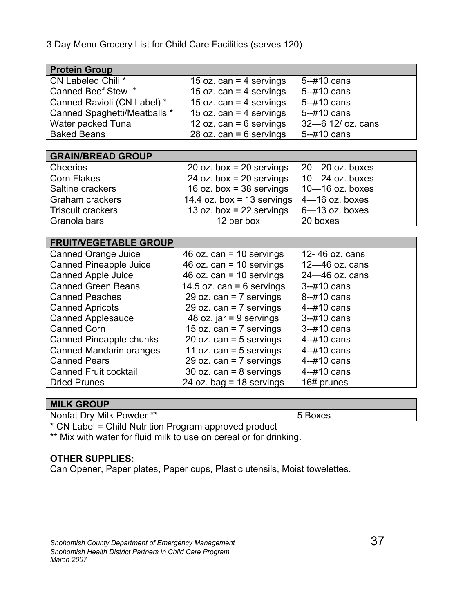3 Day Menu Grocery List for Child Care Facilities (serves 120)

| <b>Protein Group</b>         |                           |                   |  |  |  |
|------------------------------|---------------------------|-------------------|--|--|--|
| <b>CN Labeled Chili *</b>    | 15 oz. can = 4 servings   | $5 - 410$ cans    |  |  |  |
| Canned Beef Stew *           | 15 oz. can = $4$ servings | 5--#10 cans       |  |  |  |
| Canned Ravioli (CN Label) *  | 15 oz. can = $4$ servings | 5--#10 cans       |  |  |  |
| Canned Spaghetti/Meatballs * | 15 oz. can = $4$ servings | 5--#10 cans       |  |  |  |
| Water packed Tuna            | 12 oz. can = $6$ servings | 32-6 12/ oz. cans |  |  |  |
| <b>Baked Beans</b>           | 28 oz. can = $6$ servings | 5--#10 cans       |  |  |  |

| <b>GRAIN/BREAD GROUP</b> |                            |                     |  |  |  |
|--------------------------|----------------------------|---------------------|--|--|--|
| Cheerios                 | 20 oz. box = $20$ servings | $20 - 20$ oz. boxes |  |  |  |
| <b>Corn Flakes</b>       | 24 oz. box = $20$ servings | $10 - 24$ oz. boxes |  |  |  |
| Saltine crackers         | 16 oz. box = $38$ servings | $10 - 16$ oz. boxes |  |  |  |
| Graham crackers          | 14.4 oz. box = 13 servings | $4-16$ oz. boxes    |  |  |  |
| <b>Triscuit crackers</b> | 13 oz. box = $22$ servings | $6 - 13$ oz. boxes  |  |  |  |
| Granola bars             | 12 per box                 | 20 boxes            |  |  |  |

| <b>FRUIT/VEGETABLE GROUP</b>   |                             |                    |  |  |  |
|--------------------------------|-----------------------------|--------------------|--|--|--|
| <b>Canned Orange Juice</b>     | 46 oz. can = $10$ servings  | 12-46 oz. cans     |  |  |  |
| <b>Canned Pineapple Juice</b>  | 46 oz. $can = 10$ servings  | $12 - 46$ oz. cans |  |  |  |
| <b>Canned Apple Juice</b>      | 46 oz. $can = 10$ servings  | $24 - 46$ oz. cans |  |  |  |
| <b>Canned Green Beans</b>      | 14.5 oz. can = $6$ servings | $3 - 410$ cans     |  |  |  |
| <b>Canned Peaches</b>          | 29 oz. $can = 7$ servings   | $8 - 410$ cans     |  |  |  |
| <b>Canned Apricots</b>         | 29 oz. $can = 7$ servings   | $4 - 410$ cans     |  |  |  |
| <b>Canned Applesauce</b>       | 48 oz. jar = $9$ servings   | $3 - 410$ cans     |  |  |  |
| <b>Canned Corn</b>             | 15 oz. can = $7$ servings   | $3 - 410$ cans     |  |  |  |
| <b>Canned Pineapple chunks</b> | 20 oz. can = $5$ servings   | $4 - 410$ cans     |  |  |  |
| <b>Canned Mandarin oranges</b> | 11 oz. can = $5$ servings   | $4 - 410$ cans     |  |  |  |
| <b>Canned Pears</b>            | 29 oz. can = $7$ servings   | $4 - 410$ cans     |  |  |  |
| <b>Canned Fruit cocktail</b>   | 30 oz. can = $8$ servings   | $4 - 410$ cans     |  |  |  |
| <b>Dried Prunes</b>            | 24 oz. bag = $18$ servings  | 16# prunes         |  |  |  |

| <b>MILK GROUP</b>                                        |         |  |
|----------------------------------------------------------|---------|--|
| Nonfat Dry Milk Powder **                                | 5 Boxes |  |
| $*$ CNI Label – Child Nutrition Drearam approved product |         |  |

\* CN Label = Child Nutrition Program approved product

\*\* Mix with water for fluid milk to use on cereal or for drinking.

### **OTHER SUPPLIES:**

Can Opener, Paper plates, Paper cups, Plastic utensils, Moist towelettes.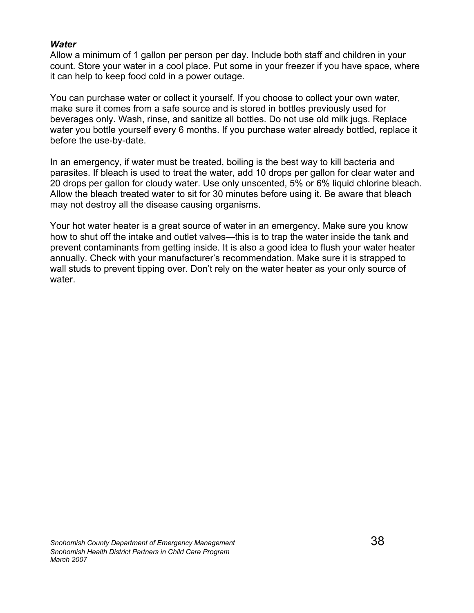### *Water*

Allow a minimum of 1 gallon per person per day. Include both staff and children in your count. Store your water in a cool place. Put some in your freezer if you have space, where it can help to keep food cold in a power outage.

You can purchase water or collect it yourself. If you choose to collect your own water, make sure it comes from a safe source and is stored in bottles previously used for beverages only. Wash, rinse, and sanitize all bottles. Do not use old milk jugs. Replace water you bottle yourself every 6 months. If you purchase water already bottled, replace it before the use-by-date.

In an emergency, if water must be treated, boiling is the best way to kill bacteria and parasites. If bleach is used to treat the water, add 10 drops per gallon for clear water and 20 drops per gallon for cloudy water. Use only unscented, 5% or 6% liquid chlorine bleach. Allow the bleach treated water to sit for 30 minutes before using it. Be aware that bleach may not destroy all the disease causing organisms.

Your hot water heater is a great source of water in an emergency. Make sure you know how to shut off the intake and outlet valves—this is to trap the water inside the tank and prevent contaminants from getting inside. It is also a good idea to flush your water heater annually. Check with your manufacturer's recommendation. Make sure it is strapped to wall studs to prevent tipping over. Don't rely on the water heater as your only source of water.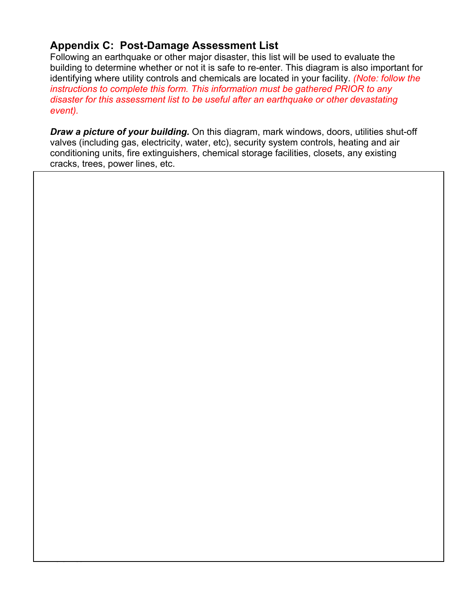# **Appendix C: Post-Damage Assessment List**

*March 2007*

Following an earthquake or other major disaster, this list will be used to evaluate the building to determine whether or not it is safe to re-enter. This diagram is also important for identifying where utility controls and chemicals are located in your facility. *(Note: follow the instructions to complete this form. This information must be gathered PRIOR to any disaster for this assessment list to be useful after an earthquake or other devastating event).*

*Draw a picture of your building.* On this diagram, mark windows, doors, utilities shut-off valves (including gas, electricity, water, etc), security system controls, heating and air conditioning units, fire extinguishers, chemical storage facilities, closets, any existing cracks, trees, power lines, etc.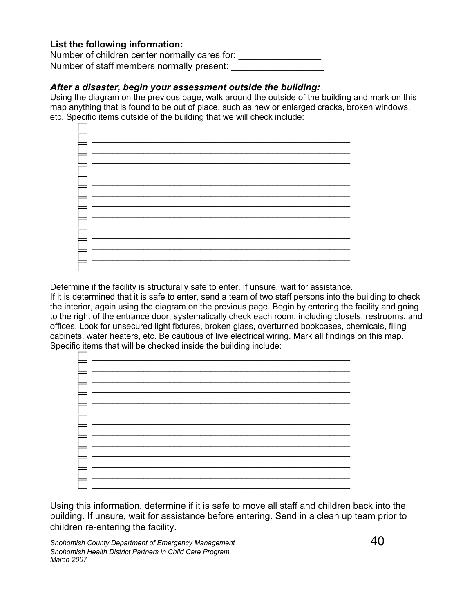### **List the following information:**

Number of children center normally cares for: Number of staff members normally present:

### *After a disaster, begin your assessment outside the building:*

Using the diagram on the previous page, walk around the outside of the building and mark on this map anything that is found to be out of place, such as new or enlarged cracks, broken windows, etc. Specific items outside of the building that we will check include:

| the control of the control of the control of                                                                          |
|-----------------------------------------------------------------------------------------------------------------------|
| the control of the control of the control of the control of the control of                                            |
|                                                                                                                       |
|                                                                                                                       |
| the control of the control of the control of the control of the control of the control of                             |
|                                                                                                                       |
|                                                                                                                       |
| <u> 1964 - Johann John Stein, market fan it ferskeart fan it ferskeart fan it ferskeart fan it ferskeart fan it f</u> |
|                                                                                                                       |
|                                                                                                                       |
|                                                                                                                       |

Determine if the facility is structurally safe to enter. If unsure, wait for assistance.

If it is determined that it is safe to enter, send a team of two staff persons into the building to check the interior, again using the diagram on the previous page. Begin by entering the facility and going to the right of the entrance door, systematically check each room, including closets, restrooms, and offices. Look for unsecured light fixtures, broken glass, overturned bookcases, chemicals, filing cabinets, water heaters, etc. Be cautious of live electrical wiring. Mark all findings on this map. Specific items that will be checked inside the building include:

Using this information, determine if it is safe to move all staff and children back into the building. If unsure, wait for assistance before entering. Send in a clean up team prior to children re-entering the facility.

*Snohomish County Department of Emergency Management* 40 *Snohomish Health District Partners in Child Care Program March 2007*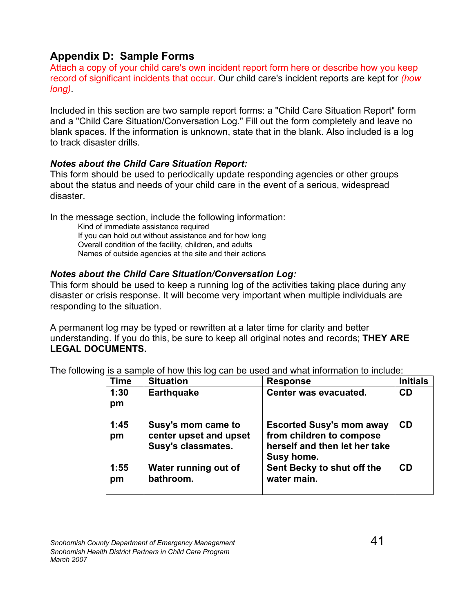# **Appendix D: Sample Forms**

Attach a copy of your child care's own incident report form here or describe how you keep record of significant incidents that occur. Our child care's incident reports are kept for *(how long)*.

Included in this section are two sample report forms: a "Child Care Situation Report" form and a "Child Care Situation/Conversation Log." Fill out the form completely and leave no blank spaces. If the information is unknown, state that in the blank. Also included is a log to track disaster drills.

### *Notes about the Child Care Situation Report:*

This form should be used to periodically update responding agencies or other groups about the status and needs of your child care in the event of a serious, widespread disaster.

In the message section, include the following information:

Kind of immediate assistance required If you can hold out without assistance and for how long Overall condition of the facility, children, and adults Names of outside agencies at the site and their actions

### *Notes about the Child Care Situation/Conversation Log:*

This form should be used to keep a running log of the activities taking place during any disaster or crisis response. It will become very important when multiple individuals are responding to the situation.

A permanent log may be typed or rewritten at a later time for clarity and better understanding. If you do this, be sure to keep all original notes and records; **THEY ARE LEGAL DOCUMENTS.**

The following is a sample of how this log can be used and what information to include:

| <b>Time</b> | <b>Situation</b>                                                   | <b>Response</b>                                                                                            | <b>Initials</b> |
|-------------|--------------------------------------------------------------------|------------------------------------------------------------------------------------------------------------|-----------------|
| 1:30<br>pm  | <b>Earthquake</b>                                                  | Center was evacuated.                                                                                      | <b>CD</b>       |
| 1:45<br>pm  | Susy's mom came to<br>center upset and upset<br>Susy's classmates. | <b>Escorted Susy's mom away</b><br>from children to compose<br>herself and then let her take<br>Susy home. | CD              |
| 1:55<br>pm  | Water running out of<br>bathroom.                                  | Sent Becky to shut off the<br>water main.                                                                  | CD              |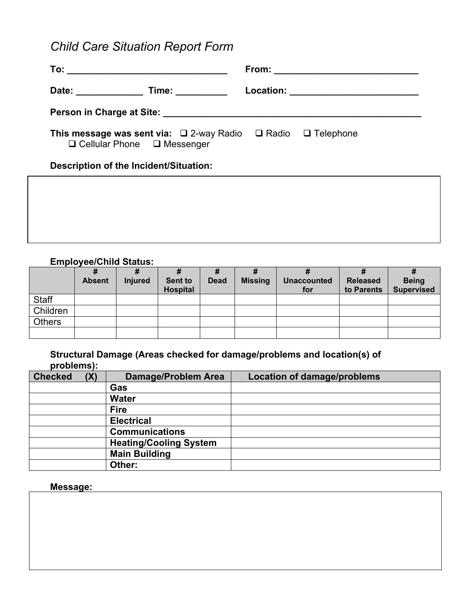*Child Care Situation Report Form*

|                                        |                                                                             |  | From: ___________________________    |  |  |
|----------------------------------------|-----------------------------------------------------------------------------|--|--------------------------------------|--|--|
|                                        |                                                                             |  | Location: __________________________ |  |  |
|                                        |                                                                             |  |                                      |  |  |
| $\Box$ Cellular Phone $\Box$ Messenger | This message was sent via: $\Box$ 2-way Radio $\Box$ Radio $\Box$ Telephone |  |                                      |  |  |
| Description of the Incident/Situation: |                                                                             |  |                                      |  |  |

### **Employee/Child Status:**

|               | <b>Absent</b> | <b>Injured</b> | <b>Sent to</b>  | <b>Dead</b> | <b>Missing</b> | <b>Unaccounted</b> | <b>Released</b> | <b>Being</b>      |
|---------------|---------------|----------------|-----------------|-------------|----------------|--------------------|-----------------|-------------------|
|               |               |                | <b>Hospital</b> |             |                | for                | to Parents      | <b>Supervised</b> |
| <b>Staff</b>  |               |                |                 |             |                |                    |                 |                   |
| Children      |               |                |                 |             |                |                    |                 |                   |
| <b>Others</b> |               |                |                 |             |                |                    |                 |                   |
|               |               |                |                 |             |                |                    |                 |                   |

### **Structural Damage (Areas checked for damage/problems and location(s) of problems):**

| <b>Checked</b> | (X) | <b>Damage/Problem Area</b>    | <b>Location of damage/problems</b> |
|----------------|-----|-------------------------------|------------------------------------|
|                |     | Gas                           |                                    |
|                |     | <b>Water</b>                  |                                    |
|                |     | <b>Fire</b>                   |                                    |
|                |     | <b>Electrical</b>             |                                    |
|                |     | <b>Communications</b>         |                                    |
|                |     | <b>Heating/Cooling System</b> |                                    |
|                |     | <b>Main Building</b>          |                                    |
|                |     | Other:                        |                                    |

### **Message:**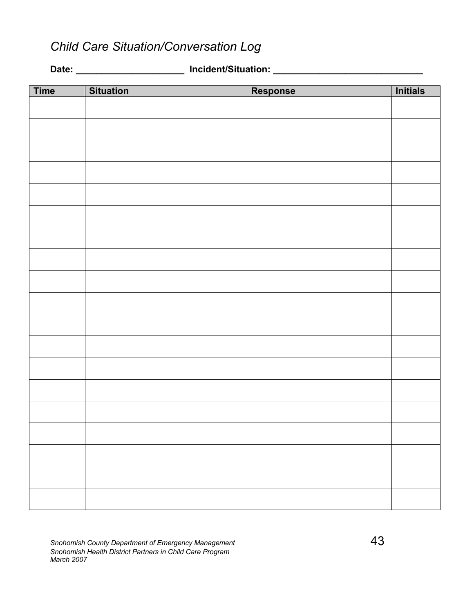# *Child Care Situation/Conversation Log*

Date: \_\_\_\_\_\_\_\_\_\_\_\_\_\_\_\_\_\_\_\_\_\_\_\_ Incident/Situation: \_\_\_\_\_\_\_\_\_\_\_\_\_\_\_\_\_\_\_\_\_\_\_\_\_\_\_\_\_\_

| <b>Time</b> | <b>Situation</b> | Response | <b>Initials</b> |
|-------------|------------------|----------|-----------------|
|             |                  |          |                 |
|             |                  |          |                 |
|             |                  |          |                 |
|             |                  |          |                 |
|             |                  |          |                 |
|             |                  |          |                 |
|             |                  |          |                 |
|             |                  |          |                 |
|             |                  |          |                 |
|             |                  |          |                 |
|             |                  |          |                 |
|             |                  |          |                 |
|             |                  |          |                 |
|             |                  |          |                 |
|             |                  |          |                 |
|             |                  |          |                 |
|             |                  |          |                 |
|             |                  |          |                 |
|             |                  |          |                 |

**Snohomish County Department of Emergency Management 1988** *Snohomish Health District Partners in Child Care Program March 2007*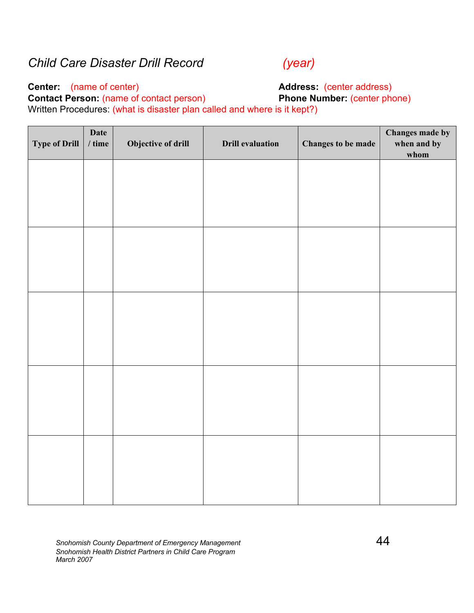# *Child Care Disaster Drill Record (year)*

# **Center:** (name of center) **Address:** (center address)

**Contact Person:** (name of contact person) **Phone Number:** (center phone)

Written Procedures: (what is disaster plan called and where is it kept?)

| <b>Type of Drill</b> | Date<br>$\prime$ time | Objective of drill | <b>Drill evaluation</b> | Changes to be made | Changes made by<br>when and by<br>whom |
|----------------------|-----------------------|--------------------|-------------------------|--------------------|----------------------------------------|
|                      |                       |                    |                         |                    |                                        |
|                      |                       |                    |                         |                    |                                        |
|                      |                       |                    |                         |                    |                                        |
|                      |                       |                    |                         |                    |                                        |
|                      |                       |                    |                         |                    |                                        |
|                      |                       |                    |                         |                    |                                        |
|                      |                       |                    |                         |                    |                                        |
|                      |                       |                    |                         |                    |                                        |
|                      |                       |                    |                         |                    |                                        |
|                      |                       |                    |                         |                    |                                        |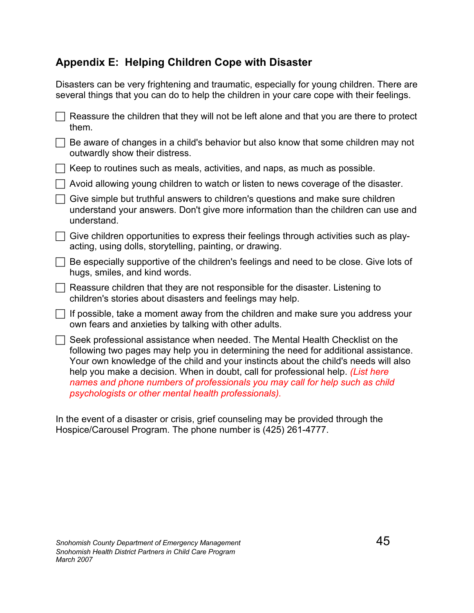# **Appendix E: Helping Children Cope with Disaster**

Disasters can be very frightening and traumatic, especially for young children. There are several things that you can do to help the children in your care cope with their feelings.

| Reassure the children that they will not be left alone and that you are there to protect                                                                                                                                                                                                                                                                                                                                                                                               |
|----------------------------------------------------------------------------------------------------------------------------------------------------------------------------------------------------------------------------------------------------------------------------------------------------------------------------------------------------------------------------------------------------------------------------------------------------------------------------------------|
| them.                                                                                                                                                                                                                                                                                                                                                                                                                                                                                  |
| Be aware of changes in a child's behavior but also know that some children may not<br>outwardly show their distress.                                                                                                                                                                                                                                                                                                                                                                   |
| Keep to routines such as meals, activities, and naps, as much as possible.                                                                                                                                                                                                                                                                                                                                                                                                             |
| Avoid allowing young children to watch or listen to news coverage of the disaster.                                                                                                                                                                                                                                                                                                                                                                                                     |
| Give simple but truthful answers to children's questions and make sure children<br>understand your answers. Don't give more information than the children can use and<br>understand.                                                                                                                                                                                                                                                                                                   |
| Give children opportunities to express their feelings through activities such as play-<br>acting, using dolls, storytelling, painting, or drawing.                                                                                                                                                                                                                                                                                                                                     |
| Be especially supportive of the children's feelings and need to be close. Give lots of<br>hugs, smiles, and kind words.                                                                                                                                                                                                                                                                                                                                                                |
| Reassure children that they are not responsible for the disaster. Listening to<br>children's stories about disasters and feelings may help.                                                                                                                                                                                                                                                                                                                                            |
| If possible, take a moment away from the children and make sure you address your<br>own fears and anxieties by talking with other adults.                                                                                                                                                                                                                                                                                                                                              |
| Seek professional assistance when needed. The Mental Health Checklist on the<br>following two pages may help you in determining the need for additional assistance.<br>Your own knowledge of the child and your instincts about the child's needs will also<br>help you make a decision. When in doubt, call for professional help. (List here<br>names and phone numbers of professionals you may call for help such as child<br>psychologists or other mental health professionals). |

In the event of a disaster or crisis, grief counseling may be provided through the Hospice/Carousel Program. The phone number is (425) 261-4777.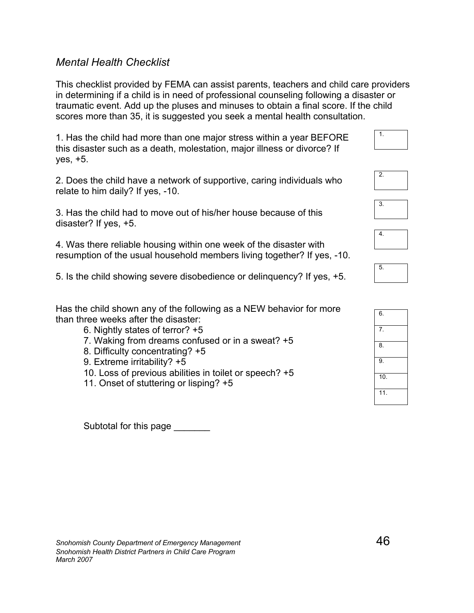# *Mental Health Checklist*

This checklist provided by FEMA can assist parents, teachers and child care providers in determining if a child is in need of professional counseling following a disaster or traumatic event. Add up the pluses and minuses to obtain a final score. If the child scores more than 35, it is suggested you seek a mental health consultation.

1. Has the child had more than one major stress within a year BEFORE this disaster such as a death, molestation, major illness or divorce? If yes, +5.

2. Does the child have a network of supportive, caring individuals who relate to him daily? If yes, -10.

3. Has the child had to move out of his/her house because of this disaster? If yes, +5.

4. Was there reliable housing within one week of the disaster with resumption of the usual household members living together? If yes, -10.

5. Is the child showing severe disobedience or delinquency? If yes, +5.

Has the child shown any of the following as a NEW behavior for more than three weeks after the disaster:

- 6. Nightly states of terror? +5
- 7. Waking from dreams confused or in a sweat? +5
- 8. Difficulty concentrating? +5
- 9. Extreme irritability? +5
- 10. Loss of previous abilities in toilet or speech? +5
- 11. Onset of stuttering or lisping? +5

Subtotal for this page



| 6.  |  |
|-----|--|
| 7.  |  |
| 8.  |  |
| 9.  |  |
| 10. |  |
| 11. |  |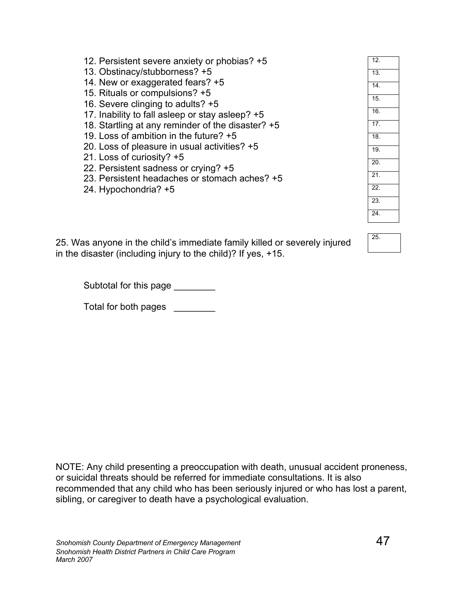| 12. Persistent severe anxiety or phobias? +5      | 12. |
|---------------------------------------------------|-----|
| 13. Obstinacy/stubborness? +5                     | 13. |
| 14. New or exaggerated fears? +5                  | 14. |
| 15. Rituals or compulsions? +5                    |     |
| 16. Severe clinging to adults? +5                 | 15. |
| 17. Inability to fall asleep or stay asleep? +5   | 16. |
| 18. Startling at any reminder of the disaster? +5 | 17. |
| 19. Loss of ambition in the future? $+5$          | 18. |
| 20. Loss of pleasure in usual activities? +5      | 19. |
| 21. Loss of curiosity? +5                         |     |
| 22. Persistent sadness or crying? +5              | 20. |
| 23. Persistent headaches or stomach aches? +5     | 21. |
| 24. Hypochondria? +5                              | 22. |
|                                                   | 23. |
|                                                   | 24. |
|                                                   |     |

25. Was anyone in the child's immediate family killed or severely injured in the disaster (including injury to the child)? If yes, +15.

Subtotal for this page

Total for both pages

NOTE: Any child presenting a preoccupation with death, unusual accident proneness, or suicidal threats should be referred for immediate consultations. It is also recommended that any child who has been seriously injured or who has lost a parent, sibling, or caregiver to death have a psychological evaluation.

25.